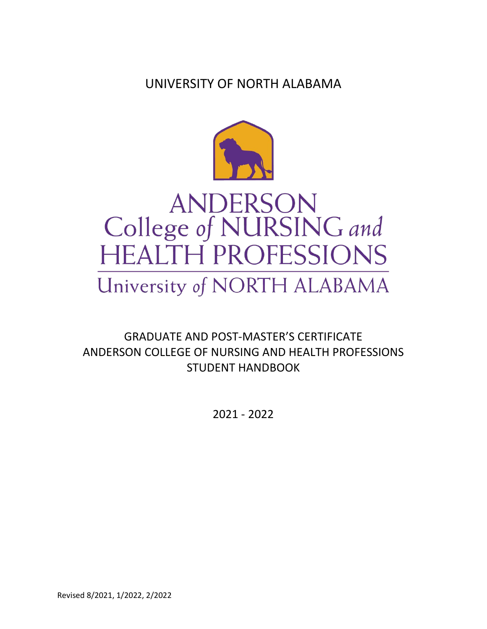UNIVERSITY OF NORTH ALABAMA



# **ANDERSON** College of NURSING and **HEALTH PROFESSIONS**

## University of NORTH ALABAMA

GRADUATE AND POST-MASTER'S CERTIFICATE ANDERSON COLLEGE OF NURSING AND HEALTH PROFESSIONS STUDENT HANDBOOK

2021 - 2022

Revised 8/2021, 1/2022, 2/2022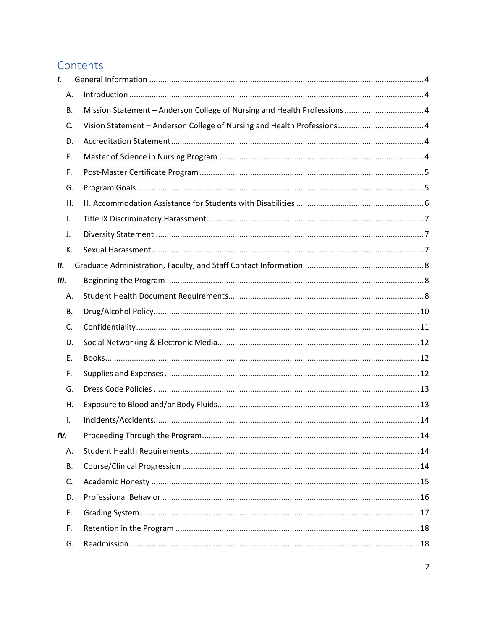## Contents

| I.  |    |                                                                           |  |
|-----|----|---------------------------------------------------------------------------|--|
|     | Α. |                                                                           |  |
|     | В. | Mission Statement - Anderson College of Nursing and Health Professions  4 |  |
|     | C. |                                                                           |  |
|     | D. |                                                                           |  |
|     | Ε. |                                                                           |  |
|     | F. |                                                                           |  |
|     | G. |                                                                           |  |
|     | Η. |                                                                           |  |
|     | Ι. |                                                                           |  |
|     | J. |                                                                           |  |
|     | К. |                                                                           |  |
| П.  |    |                                                                           |  |
| Ш.  |    |                                                                           |  |
|     | Α. |                                                                           |  |
|     | В. |                                                                           |  |
|     | C. |                                                                           |  |
|     | D. |                                                                           |  |
|     | Е. |                                                                           |  |
|     | F. |                                                                           |  |
|     | G. |                                                                           |  |
|     | Η. |                                                                           |  |
|     | I. |                                                                           |  |
| IV. |    |                                                                           |  |
|     | Α. |                                                                           |  |
|     | В. |                                                                           |  |
|     | C. |                                                                           |  |
|     | D. |                                                                           |  |
|     | Ε. |                                                                           |  |
|     | F. |                                                                           |  |
|     | G. |                                                                           |  |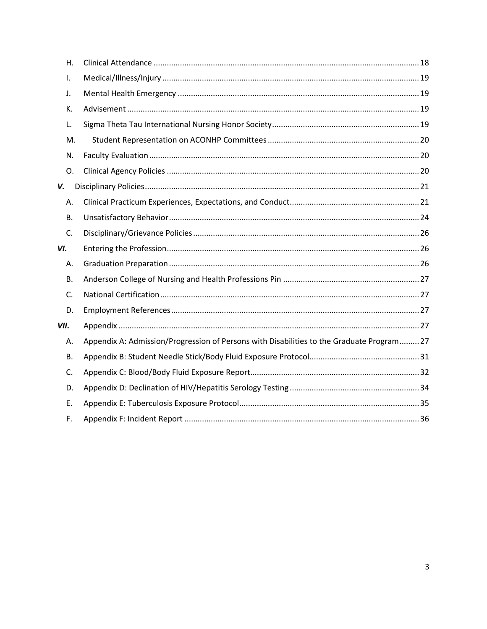| Η.        |                                                                                           |  |
|-----------|-------------------------------------------------------------------------------------------|--|
| I.        |                                                                                           |  |
| J.        |                                                                                           |  |
| К.        |                                                                                           |  |
| L.        |                                                                                           |  |
| M.        |                                                                                           |  |
| N.        |                                                                                           |  |
| 0.        |                                                                                           |  |
| V.        |                                                                                           |  |
| Α.        |                                                                                           |  |
| <b>B.</b> |                                                                                           |  |
| C.        |                                                                                           |  |
| VI.       |                                                                                           |  |
| А.        |                                                                                           |  |
| <b>B.</b> |                                                                                           |  |
| C.        |                                                                                           |  |
| D.        |                                                                                           |  |
| VII.      |                                                                                           |  |
| А.        | Appendix A: Admission/Progression of Persons with Disabilities to the Graduate Program 27 |  |
| В.        |                                                                                           |  |
| C.        |                                                                                           |  |
| D.        |                                                                                           |  |
| E.        |                                                                                           |  |
| F.        |                                                                                           |  |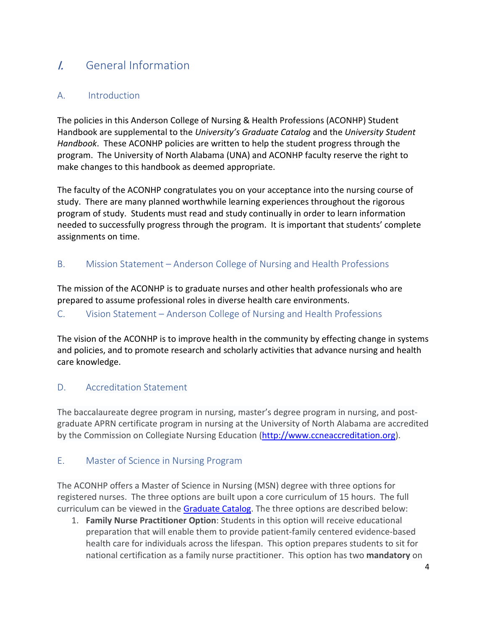## <span id="page-3-0"></span>I. General Information

#### <span id="page-3-1"></span>A. Introduction

The policies in this Anderson College of Nursing & Health Professions (ACONHP) Student Handbook are supplemental to the *University's Graduate Catalog* and the *University Student Handbook*. These ACONHP policies are written to help the student progress through the program. The University of North Alabama (UNA) and ACONHP faculty reserve the right to make changes to this handbook as deemed appropriate.

The faculty of the ACONHP congratulates you on your acceptance into the nursing course of study. There are many planned worthwhile learning experiences throughout the rigorous program of study. Students must read and study continually in order to learn information needed to successfully progress through the program. It is important that students' complete assignments on time.

#### <span id="page-3-2"></span>B. Mission Statement – Anderson College of Nursing and Health Professions

The mission of the ACONHP is to graduate nurses and other health professionals who are prepared to assume professional roles in diverse health care environments.

#### <span id="page-3-3"></span>C. Vision Statement – Anderson College of Nursing and Health Professions

The vision of the ACONHP is to improve health in the community by effecting change in systems and policies, and to promote research and scholarly activities that advance nursing and health care knowledge.

#### <span id="page-3-4"></span>D. Accreditation Statement

The baccalaureate degree program in nursing, master's degree program in nursing, and postgraduate APRN certificate program in nursing at the University of North Alabama are accredited by the Commission on Collegiate Nursing Education [\(http://www.ccneaccreditation.org\)](http://www.ccneaccreditation.org/).

#### <span id="page-3-5"></span>E. Master of Science in Nursing Program

The ACONHP offers a Master of Science in Nursing (MSN) degree with three options for registered nurses. The three options are built upon a core curriculum of 15 hours. The full curriculum can be viewed in the [Graduate Catalog.](https://catalog.una.edu/graduate/) The three options are described below:

1. **Family Nurse Practitioner Option**: Students in this option will receive educational preparation that will enable them to provide patient-family centered evidence-based health care for individuals across the lifespan. This option prepares students to sit for national certification as a family nurse practitioner. This option has two **mandatory** on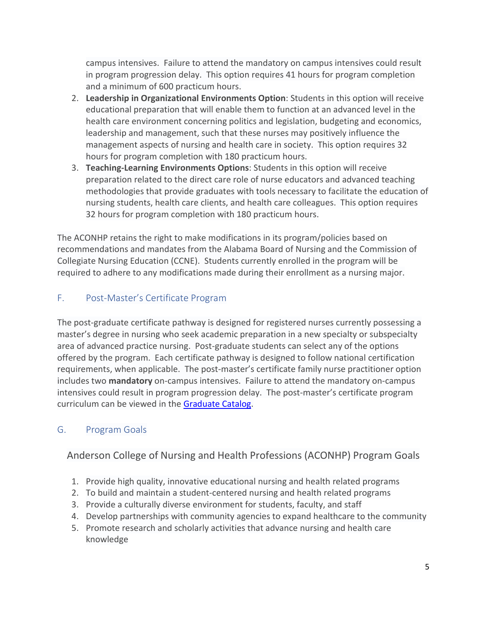campus intensives. Failure to attend the mandatory on campus intensives could result in program progression delay. This option requires 41 hours for program completion and a minimum of 600 practicum hours.

- 2. **Leadership in Organizational Environments Option**: Students in this option will receive educational preparation that will enable them to function at an advanced level in the health care environment concerning politics and legislation, budgeting and economics, leadership and management, such that these nurses may positively influence the management aspects of nursing and health care in society. This option requires 32 hours for program completion with 180 practicum hours.
- 3. **Teaching-Learning Environments Options**: Students in this option will receive preparation related to the direct care role of nurse educators and advanced teaching methodologies that provide graduates with tools necessary to facilitate the education of nursing students, health care clients, and health care colleagues. This option requires 32 hours for program completion with 180 practicum hours.

The ACONHP retains the right to make modifications in its program/policies based on recommendations and mandates from the Alabama Board of Nursing and the Commission of Collegiate Nursing Education (CCNE). Students currently enrolled in the program will be required to adhere to any modifications made during their enrollment as a nursing major.

#### <span id="page-4-0"></span>F. Post-Master's Certificate Program

The post-graduate certificate pathway is designed for registered nurses currently possessing a master's degree in nursing who seek academic preparation in a new specialty or subspecialty area of advanced practice nursing. Post-graduate students can select any of the options offered by the program. Each certificate pathway is designed to follow national certification requirements, when applicable. The post-master's certificate family nurse practitioner option includes two **mandatory** on-campus intensives. Failure to attend the mandatory on-campus intensives could result in program progression delay. The post-master's certificate program curriculum can be viewed in the [Graduate Catalog.](https://catalog.una.edu/graduate/)

#### <span id="page-4-1"></span>G. Program Goals

Anderson College of Nursing and Health Professions (ACONHP) Program Goals

- 1. Provide high quality, innovative educational nursing and health related programs
- 2. To build and maintain a student-centered nursing and health related programs
- 3. Provide a culturally diverse environment for students, faculty, and staff
- 4. Develop partnerships with community agencies to expand healthcare to the community
- 5. Promote research and scholarly activities that advance nursing and health care knowledge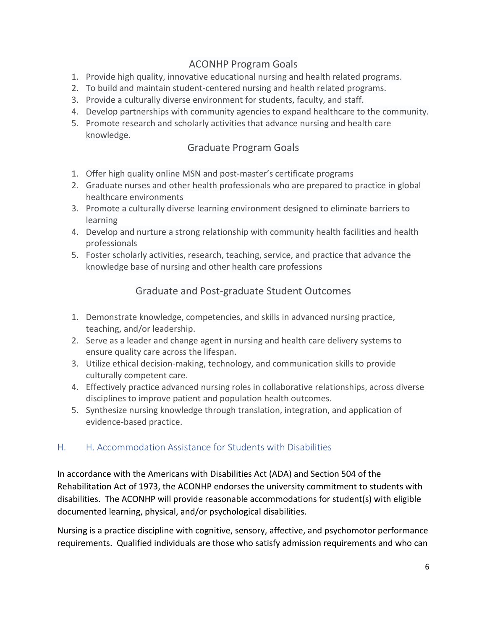### ACONHP Program Goals

- 1. Provide high quality, innovative educational nursing and health related programs.
- 2. To build and maintain student-centered nursing and health related programs.
- 3. Provide a culturally diverse environment for students, faculty, and staff.
- 4. Develop partnerships with community agencies to expand healthcare to the community.
- 5. Promote research and scholarly activities that advance nursing and health care knowledge.

#### Graduate Program Goals

- 1. Offer high quality online MSN and post-master's certificate programs
- 2. Graduate nurses and other health professionals who are prepared to practice in global healthcare environments
- 3. Promote a culturally diverse learning environment designed to eliminate barriers to learning
- 4. Develop and nurture a strong relationship with community health facilities and health professionals
- 5. Foster scholarly activities, research, teaching, service, and practice that advance the knowledge base of nursing and other health care professions

#### Graduate and Post-graduate Student Outcomes

- 1. Demonstrate knowledge, competencies, and skills in advanced nursing practice, teaching, and/or leadership.
- 2. Serve as a leader and change agent in nursing and health care delivery systems to ensure quality care across the lifespan.
- 3. Utilize ethical decision-making, technology, and communication skills to provide culturally competent care.
- 4. Effectively practice advanced nursing roles in collaborative relationships, across diverse disciplines to improve patient and population health outcomes.
- 5. Synthesize nursing knowledge through translation, integration, and application of evidence-based practice.

#### <span id="page-5-0"></span>H. H. Accommodation Assistance for Students with Disabilities

In accordance with the Americans with Disabilities Act (ADA) and Section 504 of the Rehabilitation Act of 1973, the ACONHP endorses the university commitment to students with disabilities. The ACONHP will provide reasonable accommodations for student(s) with eligible documented learning, physical, and/or psychological disabilities.

Nursing is a practice discipline with cognitive, sensory, affective, and psychomotor performance requirements. Qualified individuals are those who satisfy admission requirements and who can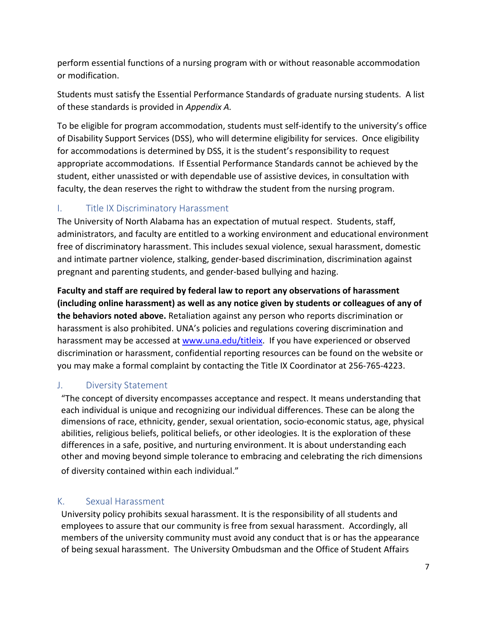perform essential functions of a nursing program with or without reasonable accommodation or modification.

Students must satisfy the Essential Performance Standards of graduate nursing students. A list of these standards is provided in *Appendix A.* 

To be eligible for program accommodation, students must self-identify to the university's office of Disability Support Services (DSS), who will determine eligibility for services. Once eligibility for accommodations is determined by DSS, it is the student's responsibility to request appropriate accommodations. If Essential Performance Standards cannot be achieved by the student, either unassisted or with dependable use of assistive devices, in consultation with faculty, the dean reserves the right to withdraw the student from the nursing program.

#### <span id="page-6-0"></span>I. Title IX Discriminatory Harassment

The University of North Alabama has an expectation of mutual respect.Students, staff, administrators, and faculty are entitled to a working environment and educational environment free of discriminatory harassment. This includes sexual violence, sexual harassment, domestic and intimate partner violence, stalking, gender-based discrimination, discrimination against pregnant and parenting students, and gender-based bullying and hazing.

**Faculty and staff are required by federal law to report any observations of harassment (including online harassment) as well as any notice given by students or colleagues of any of the behaviors noted above.** Retaliation against any person who reports discrimination or harassment is also prohibited. UNA's policies and regulations covering discrimination and harassment may be accessed at [www.una.edu/titleix.](http://www.una.edu/titleix) If you have experienced or observed discrimination or harassment, confidential reporting resources can be found on the website or you may make a formal complaint by contacting the Title IX Coordinator at 256-765-4223.

#### <span id="page-6-1"></span>J. Diversity Statement

"The concept of diversity encompasses acceptance and respect. It means understanding that each individual is unique and recognizing our individual differences. These can be along the dimensions of race, ethnicity, gender, sexual orientation, socio-economic status, age, physical abilities, religious beliefs, political beliefs, or other ideologies. It is the exploration of these differences in a safe, positive, and nurturing environment. It is about understanding each other and moving beyond simple tolerance to embracing and celebrating the rich dimensions of diversity contained within each individual."

#### <span id="page-6-2"></span>K. Sexual Harassment

University policy prohibits sexual harassment. It is the responsibility of all students and employees to assure that our community is free from sexual harassment. Accordingly, all members of the university community must avoid any conduct that is or has the appearance of being sexual harassment. The University Ombudsman and the Office of Student Affairs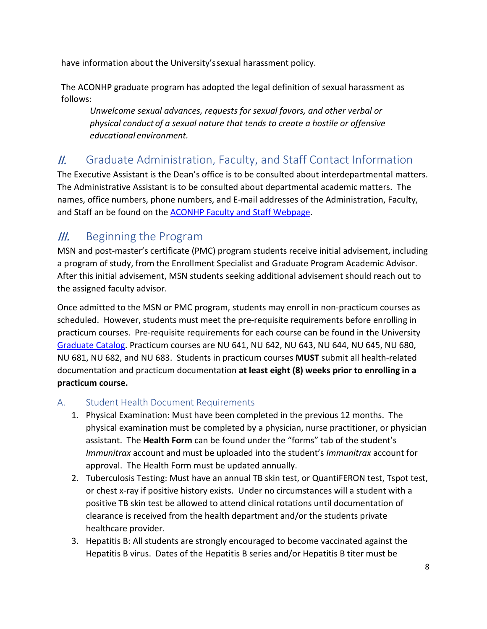have information about the University'ssexual harassment policy.

The ACONHP graduate program has adopted the legal definition of sexual harassment as follows:

*Unwelcome sexual advances, requests for sexual favors, and other verbal or physical conduct of a sexual nature that tends to create a hostile or offensive educational environment.*

## <span id="page-7-0"></span>II. Graduate Administration, Faculty, and Staff Contact Information

The Executive Assistant is the Dean's office is to be consulted about interdepartmental matters. The Administrative Assistant is to be consulted about departmental academic matters. The names, office numbers, phone numbers, and E-mail addresses of the Administration, Faculty, and Staff an be found on the [ACONHP Faculty and Staff Webpage.](https://www.una.edu/nursing/faculty-and-staff/index.html)

## <span id="page-7-1"></span>**III.** Beginning the Program

MSN and post-master's certificate (PMC) program students receive initial advisement, including a program of study, from the Enrollment Specialist and Graduate Program Academic Advisor. After this initial advisement, MSN students seeking additional advisement should reach out to the assigned faculty advisor.

Once admitted to the MSN or PMC program, students may enroll in non-practicum courses as scheduled. However, students must meet the pre-requisite requirements before enrolling in practicum courses. Pre-requisite requirements for each course can be found in the University [Graduate Catalog.](https://catalog.una.edu/graduate/) Practicum courses are NU 641, NU 642, NU 643, NU 644, NU 645, NU 680, NU 681, NU 682, and NU 683. Students in practicum courses **MUST** submit all health-related documentation and practicum documentation **at least eight (8) weeks prior to enrolling in a practicum course.** 

#### <span id="page-7-2"></span>A. Student Health Document Requirements

- 1. Physical Examination: Must have been completed in the previous 12 months. The physical examination must be completed by a physician, nurse practitioner, or physician assistant. The **Health Form** can be found under the "forms" tab of the student's *Immunitrax* account and must be uploaded into the student's *Immunitrax* account for approval. The Health Form must be updated annually.
- 2. Tuberculosis Testing: Must have an annual TB skin test, or QuantiFERON test, Tspot test, or chest x-ray if positive history exists. Under no circumstances will a student with a positive TB skin test be allowed to attend clinical rotations until documentation of clearance is received from the health department and/or the students private healthcare provider.
- 3. Hepatitis B: All students are strongly encouraged to become vaccinated against the Hepatitis B virus. Dates of the Hepatitis B series and/or Hepatitis B titer must be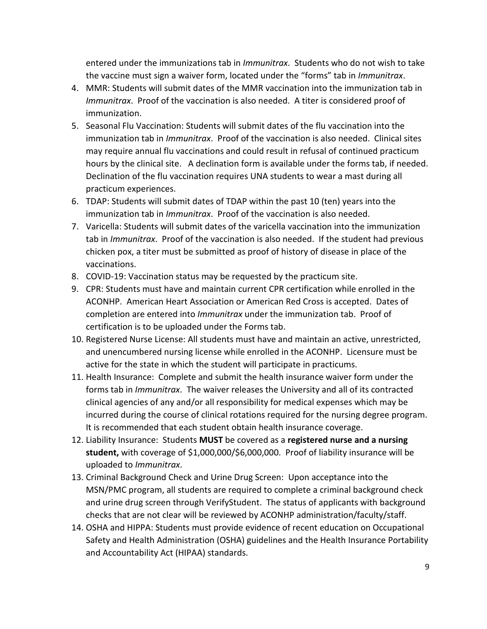entered under the immunizations tab in *Immunitrax*. Students who do not wish to take the vaccine must sign a waiver form, located under the "forms" tab in *Immunitrax*.

- 4. MMR: Students will submit dates of the MMR vaccination into the immunization tab in *Immunitrax*. Proof of the vaccination is also needed. A titer is considered proof of immunization.
- 5. Seasonal Flu Vaccination: Students will submit dates of the flu vaccination into the immunization tab in *Immunitrax*. Proof of the vaccination is also needed. Clinical sites may require annual flu vaccinations and could result in refusal of continued practicum hours by the clinical site. A declination form is available under the forms tab, if needed. Declination of the flu vaccination requires UNA students to wear a mast during all practicum experiences.
- 6. TDAP: Students will submit dates of TDAP within the past 10 (ten) years into the immunization tab in *Immunitrax*. Proof of the vaccination is also needed.
- 7. Varicella: Students will submit dates of the varicella vaccination into the immunization tab in *Immunitrax*. Proof of the vaccination is also needed. If the student had previous chicken pox, a titer must be submitted as proof of history of disease in place of the vaccinations.
- 8. COVID-19: Vaccination status may be requested by the practicum site.
- 9. CPR: Students must have and maintain current CPR certification while enrolled in the ACONHP. American Heart Association or American Red Cross is accepted. Dates of completion are entered into *Immunitrax* under the immunization tab. Proof of certification is to be uploaded under the Forms tab.
- 10. Registered Nurse License: All students must have and maintain an active, unrestricted, and unencumbered nursing license while enrolled in the ACONHP. Licensure must be active for the state in which the student will participate in practicums.
- 11. Health Insurance: Complete and submit the health insurance waiver form under the forms tab in *Immunitrax*. The waiver releases the University and all of its contracted clinical agencies of any and/or all responsibility for medical expenses which may be incurred during the course of clinical rotations required for the nursing degree program. It is recommended that each student obtain health insurance coverage.
- 12. Liability Insurance: Students **MUST** be covered as a **registered nurse and a nursing student,** with coverage of \$1,000,000/\$6,000,000. Proof of liability insurance will be uploaded to *Immunitrax*.
- 13. Criminal Background Check and Urine Drug Screen: Upon acceptance into the MSN/PMC program, all students are required to complete a criminal background check and urine drug screen through VerifyStudent. The status of applicants with background checks that are not clear will be reviewed by ACONHP administration/faculty/staff.
- 14. OSHA and HIPPA: Students must provide evidence of recent education on Occupational Safety and Health Administration (OSHA) guidelines and the Health Insurance Portability and Accountability Act (HIPAA) standards.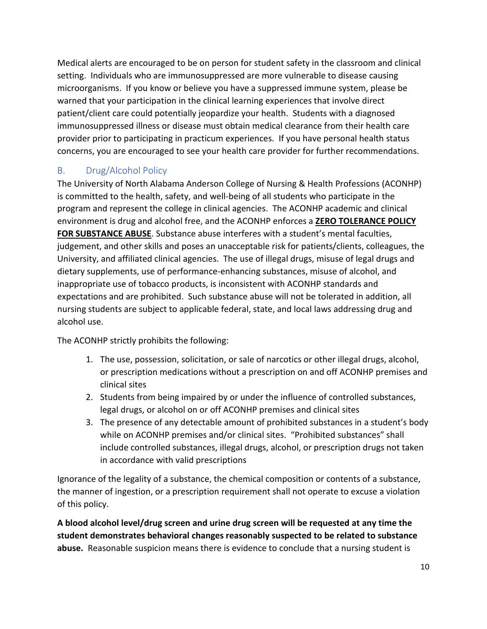Medical alerts are encouraged to be on person for student safety in the classroom and clinical setting. Individuals who are immunosuppressed are more vulnerable to disease causing microorganisms. If you know or believe you have a suppressed immune system, please be warned that your participation in the clinical learning experiences that involve direct patient/client care could potentially jeopardize your health. Students with a diagnosed immunosuppressed illness or disease must obtain medical clearance from their health care provider prior to participating in practicum experiences. If you have personal health status concerns, you are encouraged to see your health care provider for further recommendations.

#### <span id="page-9-0"></span>B. Drug/Alcohol Policy

The University of North Alabama Anderson College of Nursing & Health Professions (ACONHP) is committed to the health, safety, and well-being of all students who participate in the program and represent the college in clinical agencies. The ACONHP academic and clinical environment is drug and alcohol free, and the ACONHP enforces a **ZERO TOLERANCE POLICY FOR SUBSTANCE ABUSE**. Substance abuse interferes with a student's mental faculties, judgement, and other skills and poses an unacceptable risk for patients/clients, colleagues, the University, and affiliated clinical agencies. The use of illegal drugs, misuse of legal drugs and dietary supplements, use of performance-enhancing substances, misuse of alcohol, and inappropriate use of tobacco products, is inconsistent with ACONHP standards and expectations and are prohibited. Such substance abuse will not be tolerated in addition, all nursing students are subject to applicable federal, state, and local laws addressing drug and alcohol use.

The ACONHP strictly prohibits the following:

- 1. The use, possession, solicitation, or sale of narcotics or other illegal drugs, alcohol, or prescription medications without a prescription on and off ACONHP premises and clinical sites
- 2. Students from being impaired by or under the influence of controlled substances, legal drugs, or alcohol on or off ACONHP premises and clinical sites
- 3. The presence of any detectable amount of prohibited substances in a student's body while on ACONHP premises and/or clinical sites. "Prohibited substances" shall include controlled substances, illegal drugs, alcohol, or prescription drugs not taken in accordance with valid prescriptions

Ignorance of the legality of a substance, the chemical composition or contents of a substance, the manner of ingestion, or a prescription requirement shall not operate to excuse a violation of this policy.

**A blood alcohol level/drug screen and urine drug screen will be requested at any time the student demonstrates behavioral changes reasonably suspected to be related to substance abuse.** Reasonable suspicion means there is evidence to conclude that a nursing student is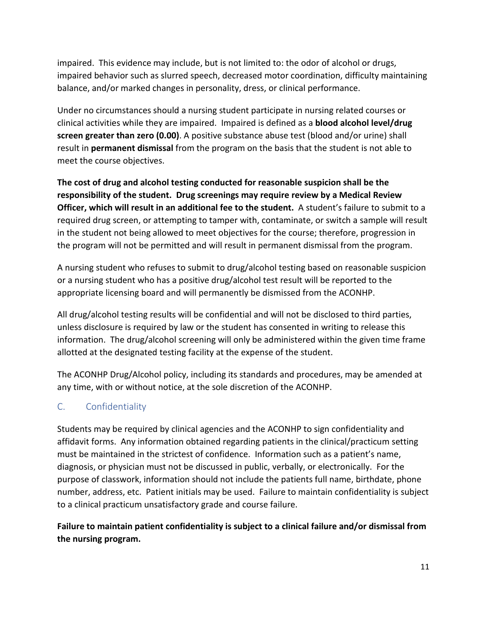impaired. This evidence may include, but is not limited to: the odor of alcohol or drugs, impaired behavior such as slurred speech, decreased motor coordination, difficulty maintaining balance, and/or marked changes in personality, dress, or clinical performance.

Under no circumstances should a nursing student participate in nursing related courses or clinical activities while they are impaired. Impaired is defined as a **blood alcohol level/drug screen greater than zero (0.00)**. A positive substance abuse test (blood and/or urine) shall result in **permanent dismissal** from the program on the basis that the student is not able to meet the course objectives.

**The cost of drug and alcohol testing conducted for reasonable suspicion shall be the responsibility of the student. Drug screenings may require review by a Medical Review Officer, which will result in an additional fee to the student.** A student's failure to submit to a required drug screen, or attempting to tamper with, contaminate, or switch a sample will result in the student not being allowed to meet objectives for the course; therefore, progression in the program will not be permitted and will result in permanent dismissal from the program.

A nursing student who refuses to submit to drug/alcohol testing based on reasonable suspicion or a nursing student who has a positive drug/alcohol test result will be reported to the appropriate licensing board and will permanently be dismissed from the ACONHP.

All drug/alcohol testing results will be confidential and will not be disclosed to third parties, unless disclosure is required by law or the student has consented in writing to release this information. The drug/alcohol screening will only be administered within the given time frame allotted at the designated testing facility at the expense of the student.

The ACONHP Drug/Alcohol policy, including its standards and procedures, may be amended at any time, with or without notice, at the sole discretion of the ACONHP.

#### <span id="page-10-0"></span>C. Confidentiality

Students may be required by clinical agencies and the ACONHP to sign confidentiality and affidavit forms. Any information obtained regarding patients in the clinical/practicum setting must be maintained in the strictest of confidence. Information such as a patient's name, diagnosis, or physician must not be discussed in public, verbally, or electronically. For the purpose of classwork, information should not include the patients full name, birthdate, phone number, address, etc. Patient initials may be used. Failure to maintain confidentiality is subject to a clinical practicum unsatisfactory grade and course failure.

#### **Failure to maintain patient confidentiality is subject to a clinical failure and/or dismissal from the nursing program.**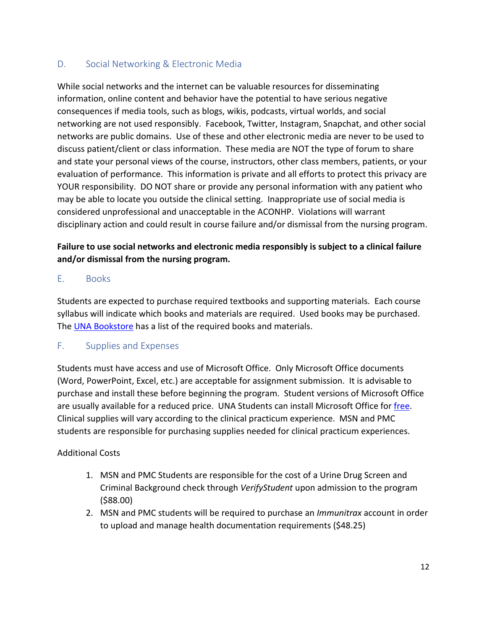#### <span id="page-11-0"></span>D. Social Networking & Electronic Media

While social networks and the internet can be valuable resources for disseminating information, online content and behavior have the potential to have serious negative consequences if media tools, such as blogs, wikis, podcasts, virtual worlds, and social networking are not used responsibly. Facebook, Twitter, Instagram, Snapchat, and other social networks are public domains. Use of these and other electronic media are never to be used to discuss patient/client or class information. These media are NOT the type of forum to share and state your personal views of the course, instructors, other class members, patients, or your evaluation of performance. This information is private and all efforts to protect this privacy are YOUR responsibility. DO NOT share or provide any personal information with any patient who may be able to locate you outside the clinical setting. Inappropriate use of social media is considered unprofessional and unacceptable in the ACONHP. Violations will warrant disciplinary action and could result in course failure and/or dismissal from the nursing program.

#### **Failure to use social networks and electronic media responsibly is subject to a clinical failure and/or dismissal from the nursing program.**

#### <span id="page-11-1"></span>E. Books

Students are expected to purchase required textbooks and supporting materials. Each course syllabus will indicate which books and materials are required. Used books may be purchased. The [UNA Bookstore](https://www.bkstr.com/northalabamastore) has a list of the required books and materials.

#### <span id="page-11-2"></span>F. Supplies and Expenses

Students must have access and use of Microsoft Office. Only Microsoft Office documents (Word, PowerPoint, Excel, etc.) are acceptable for assignment submission. It is advisable to purchase and install these before beginning the program. Student versions of Microsoft Office are usually available for a reduced price. UNA Students can install Microsoft Office for [free.](https://www.una.edu/its/free-microsoft-office.html) Clinical supplies will vary according to the clinical practicum experience. MSN and PMC students are responsible for purchasing supplies needed for clinical practicum experiences.

#### Additional Costs

- 1. MSN and PMC Students are responsible for the cost of a Urine Drug Screen and Criminal Background check through *VerifyStudent* upon admission to the program (\$88.00)
- 2. MSN and PMC students will be required to purchase an *Immunitrax* account in order to upload and manage health documentation requirements (\$48.25)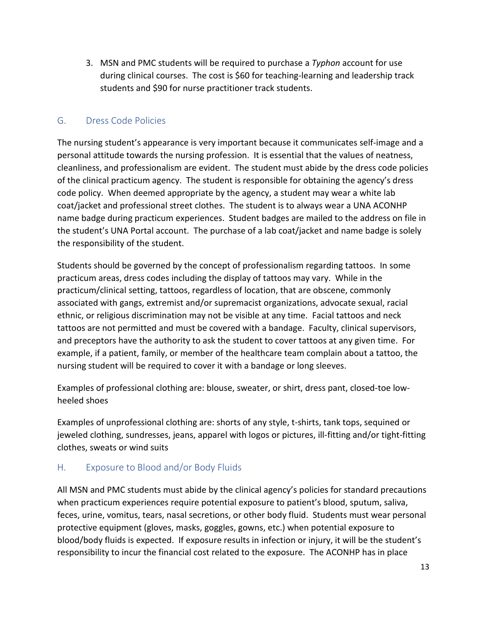3. MSN and PMC students will be required to purchase a *Typhon* account for use during clinical courses. The cost is \$60 for teaching-learning and leadership track students and \$90 for nurse practitioner track students.

#### <span id="page-12-0"></span>G. Dress Code Policies

The nursing student's appearance is very important because it communicates self-image and a personal attitude towards the nursing profession. It is essential that the values of neatness, cleanliness, and professionalism are evident. The student must abide by the dress code policies of the clinical practicum agency. The student is responsible for obtaining the agency's dress code policy. When deemed appropriate by the agency, a student may wear a white lab coat/jacket and professional street clothes. The student is to always wear a UNA ACONHP name badge during practicum experiences. Student badges are mailed to the address on file in the student's UNA Portal account. The purchase of a lab coat/jacket and name badge is solely the responsibility of the student.

Students should be governed by the concept of professionalism regarding tattoos. In some practicum areas, dress codes including the display of tattoos may vary. While in the practicum/clinical setting, tattoos, regardless of location, that are obscene, commonly associated with gangs, extremist and/or supremacist organizations, advocate sexual, racial ethnic, or religious discrimination may not be visible at any time. Facial tattoos and neck tattoos are not permitted and must be covered with a bandage. Faculty, clinical supervisors, and preceptors have the authority to ask the student to cover tattoos at any given time. For example, if a patient, family, or member of the healthcare team complain about a tattoo, the nursing student will be required to cover it with a bandage or long sleeves.

Examples of professional clothing are: blouse, sweater, or shirt, dress pant, closed-toe lowheeled shoes

Examples of unprofessional clothing are: shorts of any style, t-shirts, tank tops, sequined or jeweled clothing, sundresses, jeans, apparel with logos or pictures, ill-fitting and/or tight-fitting clothes, sweats or wind suits

#### <span id="page-12-1"></span>H. Exposure to Blood and/or Body Fluids

All MSN and PMC students must abide by the clinical agency's policies for standard precautions when practicum experiences require potential exposure to patient's blood, sputum, saliva, feces, urine, vomitus, tears, nasal secretions, or other body fluid. Students must wear personal protective equipment (gloves, masks, goggles, gowns, etc.) when potential exposure to blood/body fluids is expected. If exposure results in infection or injury, it will be the student's responsibility to incur the financial cost related to the exposure. The ACONHP has in place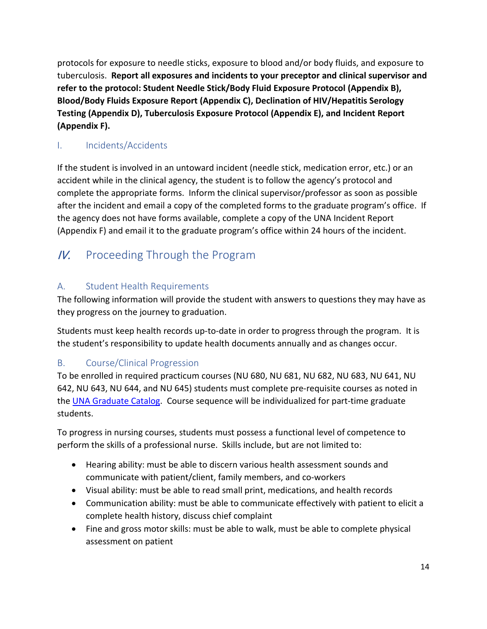protocols for exposure to needle sticks, exposure to blood and/or body fluids, and exposure to tuberculosis. **Report all exposures and incidents to your preceptor and clinical supervisor and refer to the protocol: Student Needle Stick/Body Fluid Exposure Protocol (Appendix B), Blood/Body Fluids Exposure Report (Appendix C), Declination of HIV/Hepatitis Serology Testing (Appendix D), Tuberculosis Exposure Protocol (Appendix E), and Incident Report (Appendix F).** 

#### <span id="page-13-0"></span>I. Incidents/Accidents

If the student is involved in an untoward incident (needle stick, medication error, etc.) or an accident while in the clinical agency, the student is to follow the agency's protocol and complete the appropriate forms. Inform the clinical supervisor/professor as soon as possible after the incident and email a copy of the completed forms to the graduate program's office. If the agency does not have forms available, complete a copy of the UNA Incident Report (Appendix F) and email it to the graduate program's office within 24 hours of the incident.

## <span id="page-13-1"></span>IV. Proceeding Through the Program

#### <span id="page-13-2"></span>A. Student Health Requirements

The following information will provide the student with answers to questions they may have as they progress on the journey to graduation.

Students must keep health records up-to-date in order to progress through the program. It is the student's responsibility to update health documents annually and as changes occur.

#### <span id="page-13-3"></span>B. Course/Clinical Progression

To be enrolled in required practicum courses (NU 680, NU 681, NU 682, NU 683, NU 641, NU 642, NU 643, NU 644, and NU 645) students must complete pre-requisite courses as noted in the [UNA Graduate Catalog.](https://catalog.una.edu/graduate/) Course sequence will be individualized for part-time graduate students.

To progress in nursing courses, students must possess a functional level of competence to perform the skills of a professional nurse. Skills include, but are not limited to:

- Hearing ability: must be able to discern various health assessment sounds and communicate with patient/client, family members, and co-workers
- Visual ability: must be able to read small print, medications, and health records
- Communication ability: must be able to communicate effectively with patient to elicit a complete health history, discuss chief complaint
- Fine and gross motor skills: must be able to walk, must be able to complete physical assessment on patient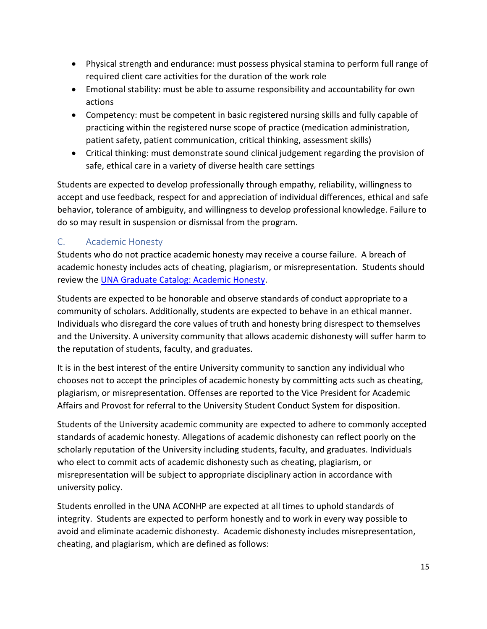- Physical strength and endurance: must possess physical stamina to perform full range of required client care activities for the duration of the work role
- Emotional stability: must be able to assume responsibility and accountability for own actions
- Competency: must be competent in basic registered nursing skills and fully capable of practicing within the registered nurse scope of practice (medication administration, patient safety, patient communication, critical thinking, assessment skills)
- Critical thinking: must demonstrate sound clinical judgement regarding the provision of safe, ethical care in a variety of diverse health care settings

Students are expected to develop professionally through empathy, reliability, willingness to accept and use feedback, respect for and appreciation of individual differences, ethical and safe behavior, tolerance of ambiguity, and willingness to develop professional knowledge. Failure to do so may result in suspension or dismissal from the program.

#### <span id="page-14-0"></span>C. Academic Honesty

Students who do not practice academic honesty may receive a course failure. A breach of academic honesty includes acts of cheating, plagiarism, or misrepresentation. Students should review the [UNA Graduate Catalog:](https://catalog.una.edu/graduate/general-information/academic-honesty/) Academic Honesty.

Students are expected to be honorable and observe standards of conduct appropriate to a community of scholars. Additionally, students are expected to behave in an ethical manner. Individuals who disregard the core values of truth and honesty bring disrespect to themselves and the University. A university community that allows academic dishonesty will suffer harm to the reputation of students, faculty, and graduates.

It is in the best interest of the entire University community to sanction any individual who chooses not to accept the principles of academic honesty by committing acts such as cheating, plagiarism, or misrepresentation. Offenses are reported to the Vice President for Academic Affairs and Provost for referral to the University Student Conduct System for disposition.

Students of the University academic community are expected to adhere to commonly accepted standards of academic honesty. Allegations of academic dishonesty can reflect poorly on the scholarly reputation of the University including students, faculty, and graduates. Individuals who elect to commit acts of academic dishonesty such as cheating, plagiarism, or misrepresentation will be subject to appropriate disciplinary action in accordance with university policy.

Students enrolled in the UNA ACONHP are expected at all times to uphold standards of integrity. Students are expected to perform honestly and to work in every way possible to avoid and eliminate academic dishonesty. Academic dishonesty includes misrepresentation, cheating, and plagiarism, which are defined as follows: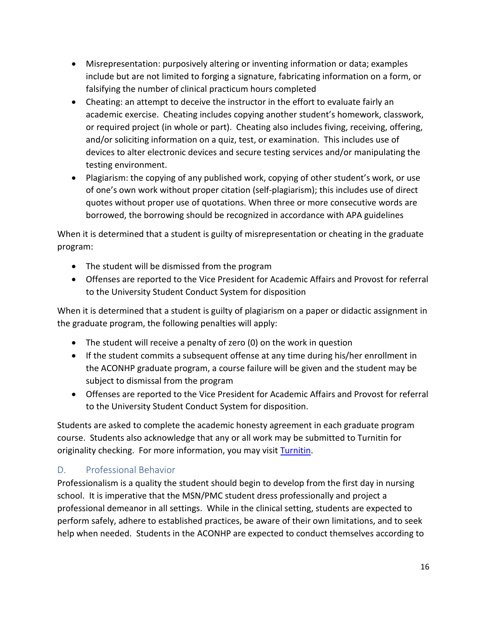- Misrepresentation: purposively altering or inventing information or data; examples include but are not limited to forging a signature, fabricating information on a form, or falsifying the number of clinical practicum hours completed
- Cheating: an attempt to deceive the instructor in the effort to evaluate fairly an academic exercise. Cheating includes copying another student's homework, classwork, or required project (in whole or part). Cheating also includes fiving, receiving, offering, and/or soliciting information on a quiz, test, or examination. This includes use of devices to alter electronic devices and secure testing services and/or manipulating the testing environment.
- Plagiarism: the copying of any published work, copying of other student's work, or use of one's own work without proper citation (self-plagiarism); this includes use of direct quotes without proper use of quotations. When three or more consecutive words are borrowed, the borrowing should be recognized in accordance with APA guidelines

When it is determined that a student is guilty of misrepresentation or cheating in the graduate program:

- The student will be dismissed from the program
- Offenses are reported to the Vice President for Academic Affairs and Provost for referral to the University Student Conduct System for disposition

When it is determined that a student is guilty of plagiarism on a paper or didactic assignment in the graduate program, the following penalties will apply:

- The student will receive a penalty of zero (0) on the work in question
- If the student commits a subsequent offense at any time during his/her enrollment in the ACONHP graduate program, a course failure will be given and the student may be subject to dismissal from the program
- Offenses are reported to the Vice President for Academic Affairs and Provost for referral to the University Student Conduct System for disposition.

Students are asked to complete the academic honesty agreement in each graduate program course. Students also acknowledge that any or all work may be submitted to Turnitin for originality checking. For more information, you may visit [Turnitin.](https://help.turnitin.com/feedback-studio/turnitin-website/student/student-category.htm#Submissi)

#### <span id="page-15-0"></span>D. Professional Behavior

Professionalism is a quality the student should begin to develop from the first day in nursing school. It is imperative that the MSN/PMC student dress professionally and project a professional demeanor in all settings. While in the clinical setting, students are expected to perform safely, adhere to established practices, be aware of their own limitations, and to seek help when needed. Students in the ACONHP are expected to conduct themselves according to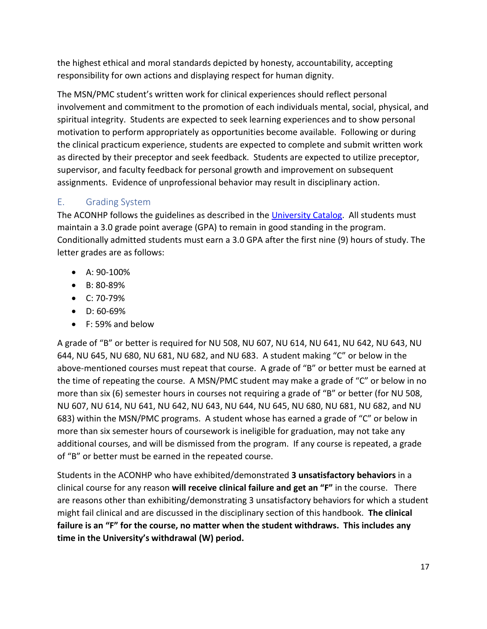the highest ethical and moral standards depicted by honesty, accountability, accepting responsibility for own actions and displaying respect for human dignity.

The MSN/PMC student's written work for clinical experiences should reflect personal involvement and commitment to the promotion of each individuals mental, social, physical, and spiritual integrity. Students are expected to seek learning experiences and to show personal motivation to perform appropriately as opportunities become available. Following or during the clinical practicum experience, students are expected to complete and submit written work as directed by their preceptor and seek feedback. Students are expected to utilize preceptor, supervisor, and faculty feedback for personal growth and improvement on subsequent assignments. Evidence of unprofessional behavior may result in disciplinary action.

#### <span id="page-16-0"></span>E. Grading System

The ACONHP follows the guidelines as described in the [University Catalog.](https://catalog.una.edu/) All students must maintain a 3.0 grade point average (GPA) to remain in good standing in the program. Conditionally admitted students must earn a 3.0 GPA after the first nine (9) hours of study. The letter grades are as follows:

- A: 90-100%
- B: 80-89%
- C: 70-79%
- D: 60-69%
- F: 59% and below

A grade of "B" or better is required for NU 508, NU 607, NU 614, NU 641, NU 642, NU 643, NU 644, NU 645, NU 680, NU 681, NU 682, and NU 683. A student making "C" or below in the above-mentioned courses must repeat that course. A grade of "B" or better must be earned at the time of repeating the course. A MSN/PMC student may make a grade of "C" or below in no more than six (6) semester hours in courses not requiring a grade of "B" or better (for NU 508, NU 607, NU 614, NU 641, NU 642, NU 643, NU 644, NU 645, NU 680, NU 681, NU 682, and NU 683) within the MSN/PMC programs. A student whose has earned a grade of "C" or below in more than six semester hours of coursework is ineligible for graduation, may not take any additional courses, and will be dismissed from the program. If any course is repeated, a grade of "B" or better must be earned in the repeated course.

Students in the ACONHP who have exhibited/demonstrated **3 unsatisfactory behaviors** in a clinical course for any reason **will receive clinical failure and get an "F"** in the course. There are reasons other than exhibiting/demonstrating 3 unsatisfactory behaviors for which a student might fail clinical and are discussed in the disciplinary section of this handbook. **The clinical failure is an "F" for the course, no matter when the student withdraws. This includes any time in the University's withdrawal (W) period.**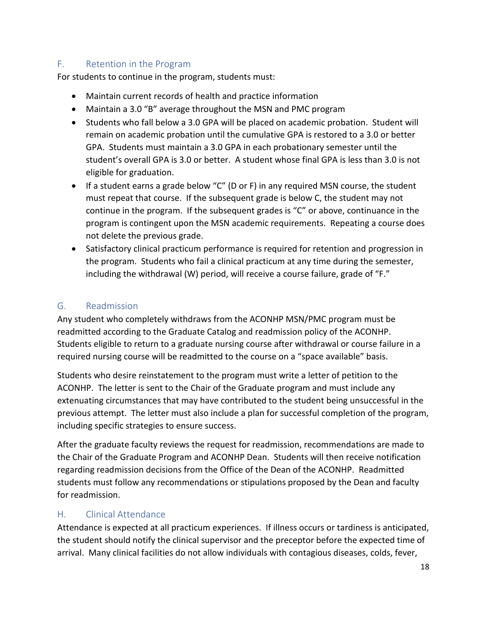#### <span id="page-17-0"></span>F. Retention in the Program

For students to continue in the program, students must:

- Maintain current records of health and practice information
- Maintain a 3.0 "B" average throughout the MSN and PMC program
- Students who fall below a 3.0 GPA will be placed on academic probation. Student will remain on academic probation until the cumulative GPA is restored to a 3.0 or better GPA. Students must maintain a 3.0 GPA in each probationary semester until the student's overall GPA is 3.0 or better. A student whose final GPA is less than 3.0 is not eligible for graduation.
- If a student earns a grade below "C" (D or F) in any required MSN course, the student must repeat that course. If the subsequent grade is below C, the student may not continue in the program. If the subsequent grades is "C" or above, continuance in the program is contingent upon the MSN academic requirements. Repeating a course does not delete the previous grade.
- Satisfactory clinical practicum performance is required for retention and progression in the program. Students who fail a clinical practicum at any time during the semester, including the withdrawal (W) period, will receive a course failure, grade of "F."

#### <span id="page-17-1"></span>G. Readmission

Any student who completely withdraws from the ACONHP MSN/PMC program must be readmitted according to the Graduate Catalog and readmission policy of the ACONHP. Students eligible to return to a graduate nursing course after withdrawal or course failure in a required nursing course will be readmitted to the course on a "space available" basis.

Students who desire reinstatement to the program must write a letter of petition to the ACONHP. The letter is sent to the Chair of the Graduate program and must include any extenuating circumstances that may have contributed to the student being unsuccessful in the previous attempt. The letter must also include a plan for successful completion of the program, including specific strategies to ensure success.

After the graduate faculty reviews the request for readmission, recommendations are made to the Chair of the Graduate Program and ACONHP Dean. Students will then receive notification regarding readmission decisions from the Office of the Dean of the ACONHP. Readmitted students must follow any recommendations or stipulations proposed by the Dean and faculty for readmission.

#### <span id="page-17-2"></span>H. Clinical Attendance

Attendance is expected at all practicum experiences. If illness occurs or tardiness is anticipated, the student should notify the clinical supervisor and the preceptor before the expected time of arrival. Many clinical facilities do not allow individuals with contagious diseases, colds, fever,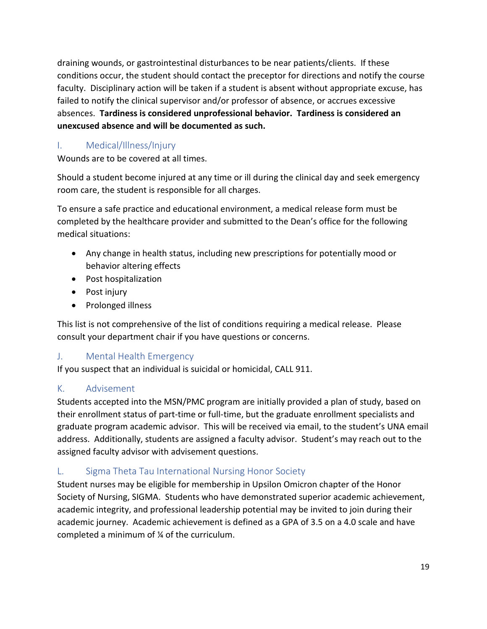draining wounds, or gastrointestinal disturbances to be near patients/clients. If these conditions occur, the student should contact the preceptor for directions and notify the course faculty. Disciplinary action will be taken if a student is absent without appropriate excuse, has failed to notify the clinical supervisor and/or professor of absence, or accrues excessive absences. **Tardiness is considered unprofessional behavior. Tardiness is considered an unexcused absence and will be documented as such.** 

#### <span id="page-18-0"></span>I. Medical/Illness/Injury

Wounds are to be covered at all times.

Should a student become injured at any time or ill during the clinical day and seek emergency room care, the student is responsible for all charges.

To ensure a safe practice and educational environment, a medical release form must be completed by the healthcare provider and submitted to the Dean's office for the following medical situations:

- Any change in health status, including new prescriptions for potentially mood or behavior altering effects
- Post hospitalization
- Post injury
- Prolonged illness

This list is not comprehensive of the list of conditions requiring a medical release. Please consult your department chair if you have questions or concerns.

#### <span id="page-18-1"></span>J. Mental Health Emergency

If you suspect that an individual is suicidal or homicidal, CALL 911.

#### <span id="page-18-2"></span>K. Advisement

Students accepted into the MSN/PMC program are initially provided a plan of study, based on their enrollment status of part-time or full-time, but the graduate enrollment specialists and graduate program academic advisor. This will be received via email, to the student's UNA email address. Additionally, students are assigned a faculty advisor. Student's may reach out to the assigned faculty advisor with advisement questions.

#### <span id="page-18-3"></span>L. Sigma Theta Tau International Nursing Honor Society

Student nurses may be eligible for membership in Upsilon Omicron chapter of the Honor Society of Nursing, SIGMA. Students who have demonstrated superior academic achievement, academic integrity, and professional leadership potential may be invited to join during their academic journey. Academic achievement is defined as a GPA of 3.5 on a 4.0 scale and have completed a minimum of ¼ of the curriculum.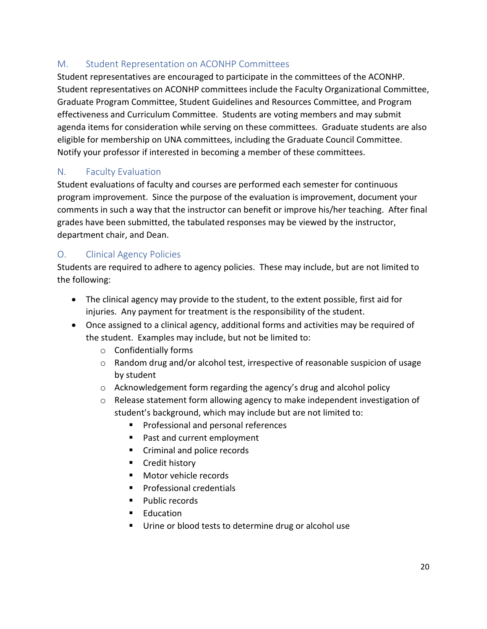#### <span id="page-19-0"></span>M. Student Representation on ACONHP Committees

Student representatives are encouraged to participate in the committees of the ACONHP. Student representatives on ACONHP committees include the Faculty Organizational Committee, Graduate Program Committee, Student Guidelines and Resources Committee, and Program effectiveness and Curriculum Committee. Students are voting members and may submit agenda items for consideration while serving on these committees. Graduate students are also eligible for membership on UNA committees, including the Graduate Council Committee. Notify your professor if interested in becoming a member of these committees.

#### <span id="page-19-1"></span>N. Faculty Evaluation

Student evaluations of faculty and courses are performed each semester for continuous program improvement. Since the purpose of the evaluation is improvement, document your comments in such a way that the instructor can benefit or improve his/her teaching. After final grades have been submitted, the tabulated responses may be viewed by the instructor, department chair, and Dean.

#### <span id="page-19-2"></span>O. Clinical Agency Policies

Students are required to adhere to agency policies. These may include, but are not limited to the following:

- The clinical agency may provide to the student, to the extent possible, first aid for injuries. Any payment for treatment is the responsibility of the student.
- Once assigned to a clinical agency, additional forms and activities may be required of the student. Examples may include, but not be limited to:
	- o Confidentially forms
	- o Random drug and/or alcohol test, irrespective of reasonable suspicion of usage by student
	- o Acknowledgement form regarding the agency's drug and alcohol policy
	- $\circ$  Release statement form allowing agency to make independent investigation of student's background, which may include but are not limited to:
		- **Professional and personal references**
		- Past and current employment
		- Criminal and police records
		- **Credit history**
		- **Motor vehicle records**
		- **Professional credentials**
		- **Public records**
		- **Education**
		- Urine or blood tests to determine drug or alcohol use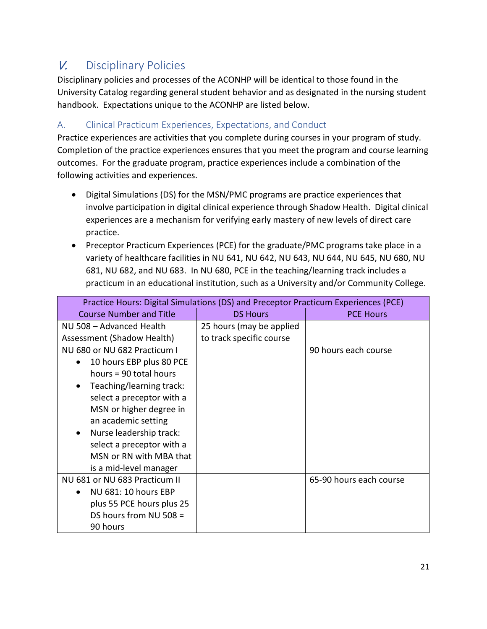## <span id="page-20-0"></span>V. Disciplinary Policies

Disciplinary policies and processes of the ACONHP will be identical to those found in the University Catalog regarding general student behavior and as designated in the nursing student handbook. Expectations unique to the ACONHP are listed below.

#### <span id="page-20-1"></span>A. Clinical Practicum Experiences, Expectations, and Conduct

Practice experiences are activities that you complete during courses in your program of study. Completion of the practice experiences ensures that you meet the program and course learning outcomes. For the graduate program, practice experiences include a combination of the following activities and experiences.

- Digital Simulations (DS) for the MSN/PMC programs are practice experiences that involve participation in digital clinical experience through Shadow Health. Digital clinical experiences are a mechanism for verifying early mastery of new levels of direct care practice.
- Preceptor Practicum Experiences (PCE) for the graduate/PMC programs take place in a variety of healthcare facilities in NU 641, NU 642, NU 643, NU 644, NU 645, NU 680, NU 681, NU 682, and NU 683. In NU 680, PCE in the teaching/learning track includes a practicum in an educational institution, such as a University and/or Community College.

| Practice Hours: Digital Simulations (DS) and Preceptor Practicum Experiences (PCE) |                          |                         |  |  |
|------------------------------------------------------------------------------------|--------------------------|-------------------------|--|--|
| <b>Course Number and Title</b>                                                     | <b>DS Hours</b>          | <b>PCE Hours</b>        |  |  |
| NU 508 - Advanced Health                                                           | 25 hours (may be applied |                         |  |  |
| Assessment (Shadow Health)                                                         | to track specific course |                         |  |  |
| NU 680 or NU 682 Practicum I                                                       |                          | 90 hours each course    |  |  |
| 10 hours EBP plus 80 PCE                                                           |                          |                         |  |  |
| hours = 90 total hours                                                             |                          |                         |  |  |
| Teaching/learning track:                                                           |                          |                         |  |  |
| select a preceptor with a                                                          |                          |                         |  |  |
| MSN or higher degree in                                                            |                          |                         |  |  |
| an academic setting                                                                |                          |                         |  |  |
| Nurse leadership track:                                                            |                          |                         |  |  |
| select a preceptor with a                                                          |                          |                         |  |  |
| MSN or RN with MBA that                                                            |                          |                         |  |  |
| is a mid-level manager                                                             |                          |                         |  |  |
| NU 681 or NU 683 Practicum II                                                      |                          | 65-90 hours each course |  |  |
| NU 681: 10 hours EBP                                                               |                          |                         |  |  |
| plus 55 PCE hours plus 25                                                          |                          |                         |  |  |
| DS hours from NU 508 $=$                                                           |                          |                         |  |  |
| 90 hours                                                                           |                          |                         |  |  |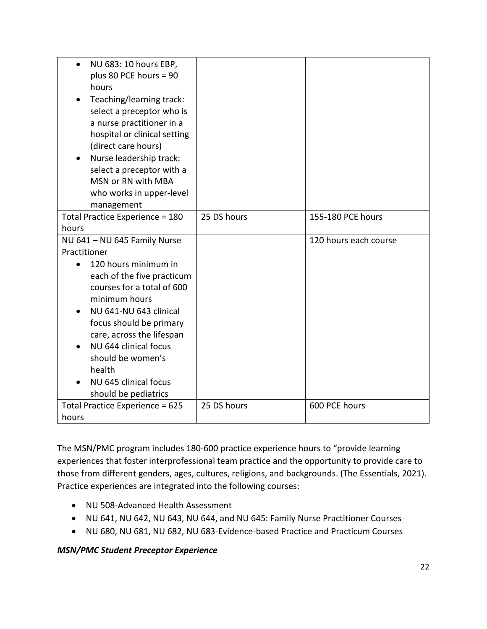| NU 683: 10 hours EBP,<br>$\bullet$                 |             |                       |
|----------------------------------------------------|-------------|-----------------------|
| plus 80 PCE hours = 90<br>hours                    |             |                       |
| Teaching/learning track:                           |             |                       |
| select a preceptor who is                          |             |                       |
| a nurse practitioner in a                          |             |                       |
| hospital or clinical setting                       |             |                       |
| (direct care hours)                                |             |                       |
| Nurse leadership track:                            |             |                       |
| select a preceptor with a                          |             |                       |
| MSN or RN with MBA                                 |             |                       |
| who works in upper-level                           |             |                       |
| management<br>Total Practice Experience = 180      | 25 DS hours | 155-180 PCE hours     |
| hours                                              |             |                       |
| NU 641 - NU 645 Family Nurse                       |             | 120 hours each course |
| Practitioner                                       |             |                       |
| 120 hours minimum in<br>$\bullet$                  |             |                       |
| each of the five practicum                         |             |                       |
| courses for a total of 600                         |             |                       |
| minimum hours                                      |             |                       |
| NU 641-NU 643 clinical                             |             |                       |
| focus should be primary                            |             |                       |
| care, across the lifespan<br>NU 644 clinical focus |             |                       |
| should be women's                                  |             |                       |
| health                                             |             |                       |
| NU 645 clinical focus                              |             |                       |
| should be pediatrics                               |             |                       |
| Total Practice Experience = 625                    | 25 DS hours | 600 PCE hours         |
| hours                                              |             |                       |

The MSN/PMC program includes 180-600 practice experience hours to "provide learning experiences that foster interprofessional team practice and the opportunity to provide care to those from different genders, ages, cultures, religions, and backgrounds. (The Essentials, 2021). Practice experiences are integrated into the following courses:

- NU 508-Advanced Health Assessment
- NU 641, NU 642, NU 643, NU 644, and NU 645: Family Nurse Practitioner Courses
- NU 680, NU 681, NU 682, NU 683-Evidence-based Practice and Practicum Courses

#### *MSN/PMC Student Preceptor Experience*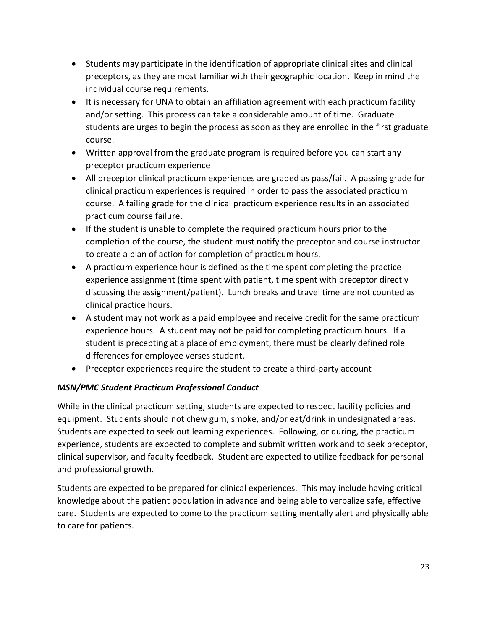- Students may participate in the identification of appropriate clinical sites and clinical preceptors, as they are most familiar with their geographic location. Keep in mind the individual course requirements.
- It is necessary for UNA to obtain an affiliation agreement with each practicum facility and/or setting. This process can take a considerable amount of time. Graduate students are urges to begin the process as soon as they are enrolled in the first graduate course.
- Written approval from the graduate program is required before you can start any preceptor practicum experience
- All preceptor clinical practicum experiences are graded as pass/fail. A passing grade for clinical practicum experiences is required in order to pass the associated practicum course. A failing grade for the clinical practicum experience results in an associated practicum course failure.
- If the student is unable to complete the required practicum hours prior to the completion of the course, the student must notify the preceptor and course instructor to create a plan of action for completion of practicum hours.
- A practicum experience hour is defined as the time spent completing the practice experience assignment (time spent with patient, time spent with preceptor directly discussing the assignment/patient). Lunch breaks and travel time are not counted as clinical practice hours.
- A student may not work as a paid employee and receive credit for the same practicum experience hours. A student may not be paid for completing practicum hours. If a student is precepting at a place of employment, there must be clearly defined role differences for employee verses student.
- Preceptor experiences require the student to create a third-party account

#### *MSN/PMC Student Practicum Professional Conduct*

While in the clinical practicum setting, students are expected to respect facility policies and equipment. Students should not chew gum, smoke, and/or eat/drink in undesignated areas. Students are expected to seek out learning experiences. Following, or during, the practicum experience, students are expected to complete and submit written work and to seek preceptor, clinical supervisor, and faculty feedback. Student are expected to utilize feedback for personal and professional growth.

Students are expected to be prepared for clinical experiences. This may include having critical knowledge about the patient population in advance and being able to verbalize safe, effective care. Students are expected to come to the practicum setting mentally alert and physically able to care for patients.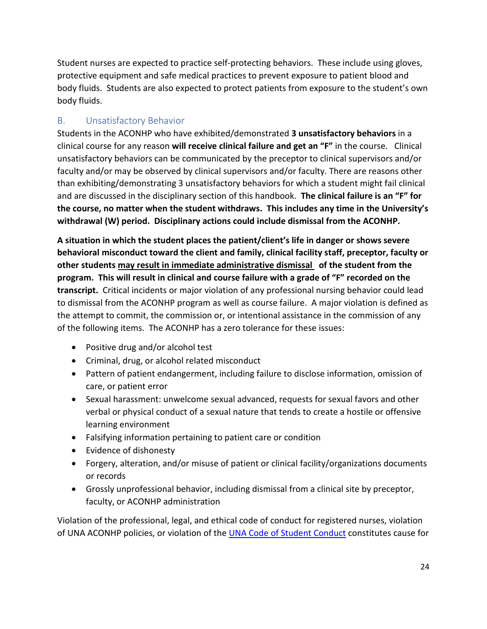Student nurses are expected to practice self-protecting behaviors. These include using gloves, protective equipment and safe medical practices to prevent exposure to patient blood and body fluids. Students are also expected to protect patients from exposure to the student's own body fluids.

#### <span id="page-23-0"></span>B. Unsatisfactory Behavior

Students in the ACONHP who have exhibited/demonstrated **3 unsatisfactory behaviors** in a clinical course for any reason **will receive clinical failure and get an "F"** in the course. Clinical unsatisfactory behaviors can be communicated by the preceptor to clinical supervisors and/or faculty and/or may be observed by clinical supervisors and/or faculty. There are reasons other than exhibiting/demonstrating 3 unsatisfactory behaviors for which a student might fail clinical and are discussed in the disciplinary section of this handbook. **The clinical failure is an "F" for the course, no matter when the student withdraws. This includes any time in the University's withdrawal (W) period. Disciplinary actions could include dismissal from the ACONHP.** 

**A situation in which the student places the patient/client's life in danger or shows severe behavioral misconduct toward the client and family, clinical facility staff, preceptor, faculty or other students may result in immediate administrative dismissal of the student from the program. This will result in clinical and course failure with a grade of "F" recorded on the transcript.** Critical incidents or major violation of any professional nursing behavior could lead to dismissal from the ACONHP program as well as course failure. A major violation is defined as the attempt to commit, the commission or, or intentional assistance in the commission of any of the following items. The ACONHP has a zero tolerance for these issues:

- Positive drug and/or alcohol test
- Criminal, drug, or alcohol related misconduct
- Pattern of patient endangerment, including failure to disclose information, omission of care, or patient error
- Sexual harassment: unwelcome sexual advanced, requests for sexual favors and other verbal or physical conduct of a sexual nature that tends to create a hostile or offensive learning environment
- Falsifying information pertaining to patient care or condition
- Evidence of dishonesty
- Forgery, alteration, and/or misuse of patient or clinical facility/organizations documents or records
- Grossly unprofessional behavior, including dismissal from a clinical site by preceptor, faculty, or ACONHP administration

Violation of the professional, legal, and ethical code of conduct for registered nurses, violation of UNA ACONHP policies, or violation of the UNA Code of Student Conduct constitutes cause for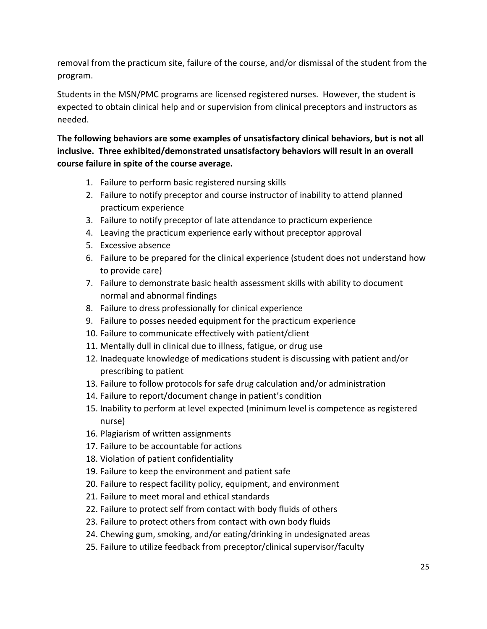removal from the practicum site, failure of the course, and/or dismissal of the student from the program.

Students in the MSN/PMC programs are licensed registered nurses. However, the student is expected to obtain clinical help and or supervision from clinical preceptors and instructors as needed.

**The following behaviors are some examples of unsatisfactory clinical behaviors, but is not all inclusive. Three exhibited/demonstrated unsatisfactory behaviors will result in an overall course failure in spite of the course average.** 

- 1. Failure to perform basic registered nursing skills
- 2. Failure to notify preceptor and course instructor of inability to attend planned practicum experience
- 3. Failure to notify preceptor of late attendance to practicum experience
- 4. Leaving the practicum experience early without preceptor approval
- 5. Excessive absence
- 6. Failure to be prepared for the clinical experience (student does not understand how to provide care)
- 7. Failure to demonstrate basic health assessment skills with ability to document normal and abnormal findings
- 8. Failure to dress professionally for clinical experience
- 9. Failure to posses needed equipment for the practicum experience
- 10. Failure to communicate effectively with patient/client
- 11. Mentally dull in clinical due to illness, fatigue, or drug use
- 12. Inadequate knowledge of medications student is discussing with patient and/or prescribing to patient
- 13. Failure to follow protocols for safe drug calculation and/or administration
- 14. Failure to report/document change in patient's condition
- 15. Inability to perform at level expected (minimum level is competence as registered nurse)
- 16. Plagiarism of written assignments
- 17. Failure to be accountable for actions
- 18. Violation of patient confidentiality
- 19. Failure to keep the environment and patient safe
- 20. Failure to respect facility policy, equipment, and environment
- 21. Failure to meet moral and ethical standards
- 22. Failure to protect self from contact with body fluids of others
- 23. Failure to protect others from contact with own body fluids
- 24. Chewing gum, smoking, and/or eating/drinking in undesignated areas
- 25. Failure to utilize feedback from preceptor/clinical supervisor/faculty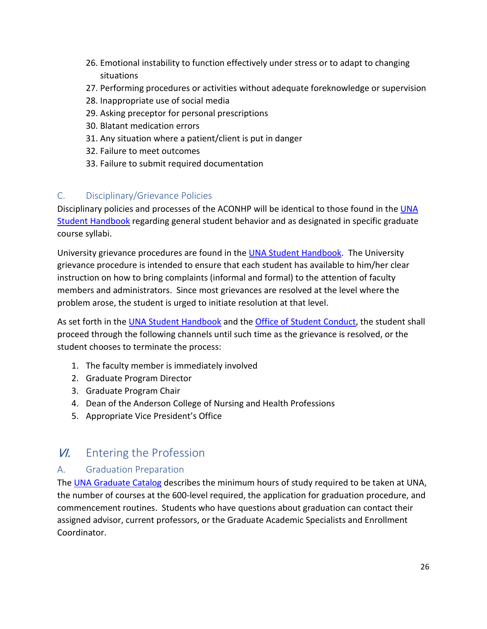- 26. Emotional instability to function effectively under stress or to adapt to changing situations
- 27. Performing procedures or activities without adequate foreknowledge or supervision
- 28. Inappropriate use of social media
- 29. Asking preceptor for personal prescriptions
- 30. Blatant medication errors
- 31. Any situation where a patient/client is put in danger
- 32. Failure to meet outcomes
- 33. Failure to submit required documentation

#### <span id="page-25-0"></span>C. Disciplinary/Grievance Policies

Disciplinary policies and processes of the ACONHP will be identical to those found in the UNA [Student Handbook](https://www.una.edu/student-handbook/?utm_source=site_search&utm_medium=search&utm_campaign=una_edu_site_search&term=student%20handbook) regarding general student behavior and as designated in specific graduate course syllabi.

University grievance procedures are found in the [UNA Student Handbook.](https://www.una.edu/student-handbook/?utm_source=site_search&utm_medium=search&utm_campaign=una_edu_site_search&term=student%20handbook) The University grievance procedure is intended to ensure that each student has available to him/her clear instruction on how to bring complaints (informal and formal) to the attention of faculty members and administrators. Since most grievances are resolved at the level where the problem arose, the student is urged to initiate resolution at that level.

As set forth in th[e UNA Student Handbook](https://www.una.edu/student-handbook/?utm_source=site_search&utm_medium=search&utm_campaign=una_edu_site_search&term=student%20handbook) and the [Office of Student Conduct,](https://www.una.edu/student-conduct/) the student shall proceed through the following channels until such time as the grievance is resolved, or the student chooses to terminate the process:

- 1. The faculty member is immediately involved
- 2. Graduate Program Director
- 3. Graduate Program Chair
- 4. Dean of the Anderson College of Nursing and Health Professions
- 5. Appropriate Vice President's Office

## <span id="page-25-1"></span>**VI.** Entering the Profession

#### <span id="page-25-2"></span>A. Graduation Preparation

The [UNA Graduate Catalog](https://catalog.una.edu/) describes the minimum hours of study required to be taken at UNA, the number of courses at the 600-level required, the application for graduation procedure, and commencement routines. Students who have questions about graduation can contact their assigned advisor, current professors, or the Graduate Academic Specialists and Enrollment Coordinator.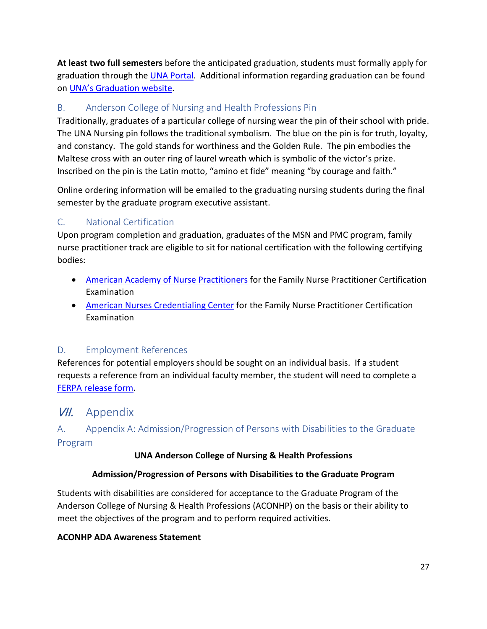**At least two full semesters** before the anticipated graduation, students must formally apply for graduation through the [UNA Portal.](https://www.una.edu/registrar/student-resources/steps-to-apply-to-graduate-via-una-portal.html) Additional information regarding graduation can be found on [UNA's Graduation website.](https://una.edu/registrar/commencement/index.html)

#### <span id="page-26-0"></span>B. Anderson College of Nursing and Health Professions Pin

Traditionally, graduates of a particular college of nursing wear the pin of their school with pride. The UNA Nursing pin follows the traditional symbolism. The blue on the pin is for truth, loyalty, and constancy. The gold stands for worthiness and the Golden Rule. The pin embodies the Maltese cross with an outer ring of laurel wreath which is symbolic of the victor's prize. Inscribed on the pin is the Latin motto, "amino et fide" meaning "by courage and faith."

Online ordering information will be emailed to the graduating nursing students during the final semester by the graduate program executive assistant.

#### <span id="page-26-1"></span>C. National Certification

Upon program completion and graduation, graduates of the MSN and PMC program, family nurse practitioner track are eligible to sit for national certification with the following certifying bodies:

- [American Academy of Nurse Practitioners](https://www.aanpcert.org/) for the Family Nurse Practitioner Certification Examination
- [American Nurses Credentialing Center](https://www.nursingworld.org/our-certifications/family-nurse-practitioner/) for the Family Nurse Practitioner Certification Examination

#### <span id="page-26-2"></span>D. Employment References

References for potential employers should be sought on an individual basis. If a student requests a reference from an individual faculty member, the student will need to complete a [FERPA release form.](https://www.una.edu/administration/docs/General-Counsel-FERPA-Release-Form-2019-20.pdf)

## <span id="page-26-3"></span>VII. Appendix

#### <span id="page-26-4"></span>A. Appendix A: Admission/Progression of Persons with Disabilities to the Graduate Program

#### **UNA Anderson College of Nursing & Health Professions**

#### **Admission/Progression of Persons with Disabilities to the Graduate Program**

Students with disabilities are considered for acceptance to the Graduate Program of the Anderson College of Nursing & Health Professions (ACONHP) on the basis or their ability to meet the objectives of the program and to perform required activities.

#### **ACONHP ADA Awareness Statement**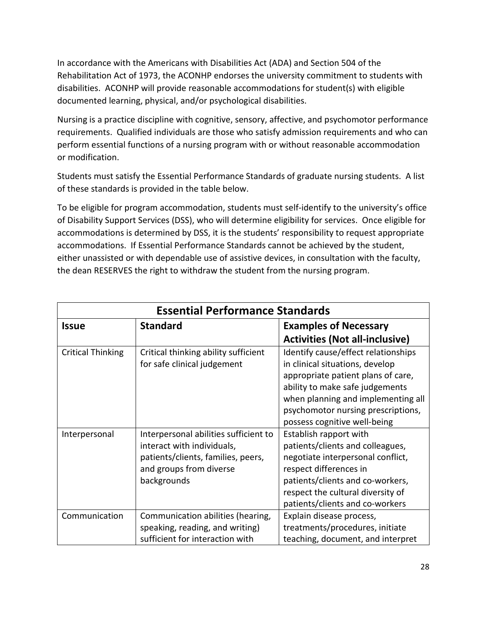In accordance with the Americans with Disabilities Act (ADA) and Section 504 of the Rehabilitation Act of 1973, the ACONHP endorses the university commitment to students with disabilities. ACONHP will provide reasonable accommodations for student(s) with eligible documented learning, physical, and/or psychological disabilities.

Nursing is a practice discipline with cognitive, sensory, affective, and psychomotor performance requirements. Qualified individuals are those who satisfy admission requirements and who can perform essential functions of a nursing program with or without reasonable accommodation or modification.

Students must satisfy the Essential Performance Standards of graduate nursing students. A list of these standards is provided in the table below.

To be eligible for program accommodation, students must self-identify to the university's office of Disability Support Services (DSS), who will determine eligibility for services. Once eligible for accommodations is determined by DSS, it is the students' responsibility to request appropriate accommodations. If Essential Performance Standards cannot be achieved by the student, either unassisted or with dependable use of assistive devices, in consultation with the faculty, the dean RESERVES the right to withdraw the student from the nursing program.

| <b>Essential Performance Standards</b> |                                                                                                                                                     |                                                                                                                                                                                                                                       |  |  |
|----------------------------------------|-----------------------------------------------------------------------------------------------------------------------------------------------------|---------------------------------------------------------------------------------------------------------------------------------------------------------------------------------------------------------------------------------------|--|--|
| <b>Issue</b>                           | <b>Standard</b>                                                                                                                                     | <b>Examples of Necessary</b>                                                                                                                                                                                                          |  |  |
|                                        |                                                                                                                                                     | <b>Activities (Not all-inclusive)</b>                                                                                                                                                                                                 |  |  |
| <b>Critical Thinking</b>               | Critical thinking ability sufficient<br>for safe clinical judgement                                                                                 | Identify cause/effect relationships<br>in clinical situations, develop<br>appropriate patient plans of care,<br>ability to make safe judgements                                                                                       |  |  |
|                                        |                                                                                                                                                     | when planning and implementing all<br>psychomotor nursing prescriptions,<br>possess cognitive well-being                                                                                                                              |  |  |
| Interpersonal                          | Interpersonal abilities sufficient to<br>interact with individuals,<br>patients/clients, families, peers,<br>and groups from diverse<br>backgrounds | Establish rapport with<br>patients/clients and colleagues,<br>negotiate interpersonal conflict,<br>respect differences in<br>patients/clients and co-workers,<br>respect the cultural diversity of<br>patients/clients and co-workers |  |  |
| Communication                          | Communication abilities (hearing,<br>speaking, reading, and writing)<br>sufficient for interaction with                                             | Explain disease process,<br>treatments/procedures, initiate<br>teaching, document, and interpret                                                                                                                                      |  |  |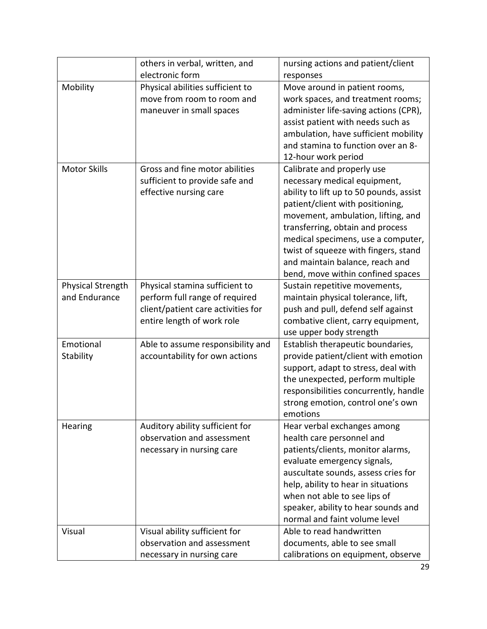|                          | others in verbal, written, and     | nursing actions and patient/client      |
|--------------------------|------------------------------------|-----------------------------------------|
|                          | electronic form                    | responses                               |
| Mobility                 | Physical abilities sufficient to   | Move around in patient rooms,           |
|                          | move from room to room and         | work spaces, and treatment rooms;       |
|                          | maneuver in small spaces           | administer life-saving actions (CPR),   |
|                          |                                    | assist patient with needs such as       |
|                          |                                    | ambulation, have sufficient mobility    |
|                          |                                    | and stamina to function over an 8-      |
|                          |                                    | 12-hour work period                     |
| <b>Motor Skills</b>      | Gross and fine motor abilities     | Calibrate and properly use              |
|                          | sufficient to provide safe and     | necessary medical equipment,            |
|                          | effective nursing care             | ability to lift up to 50 pounds, assist |
|                          |                                    | patient/client with positioning,        |
|                          |                                    | movement, ambulation, lifting, and      |
|                          |                                    | transferring, obtain and process        |
|                          |                                    | medical specimens, use a computer,      |
|                          |                                    | twist of squeeze with fingers, stand    |
|                          |                                    | and maintain balance, reach and         |
|                          |                                    | bend, move within confined spaces       |
| <b>Physical Strength</b> | Physical stamina sufficient to     | Sustain repetitive movements,           |
| and Endurance            | perform full range of required     | maintain physical tolerance, lift,      |
|                          | client/patient care activities for | push and pull, defend self against      |
|                          | entire length of work role         | combative client, carry equipment,      |
|                          |                                    | use upper body strength                 |
| Emotional                | Able to assume responsibility and  | Establish therapeutic boundaries,       |
| Stability                | accountability for own actions     | provide patient/client with emotion     |
|                          |                                    | support, adapt to stress, deal with     |
|                          |                                    | the unexpected, perform multiple        |
|                          |                                    | responsibilities concurrently, handle   |
|                          |                                    | strong emotion, control one's own       |
|                          |                                    | emotions                                |
| Hearing                  | Auditory ability sufficient for    | Hear verbal exchanges among             |
|                          | observation and assessment         | health care personnel and               |
|                          | necessary in nursing care          | patients/clients, monitor alarms,       |
|                          |                                    | evaluate emergency signals,             |
|                          |                                    | auscultate sounds, assess cries for     |
|                          |                                    | help, ability to hear in situations     |
|                          |                                    | when not able to see lips of            |
|                          |                                    | speaker, ability to hear sounds and     |
|                          |                                    | normal and faint volume level           |
| Visual                   | Visual ability sufficient for      | Able to read handwritten                |
|                          | observation and assessment         | documents, able to see small            |
|                          | necessary in nursing care          | calibrations on equipment, observe      |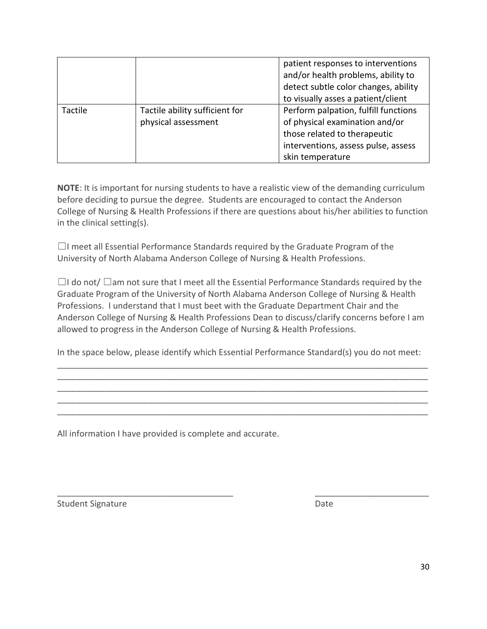|         |                                                       | patient responses to interventions<br>and/or health problems, ability to<br>detect subtle color changes, ability<br>to visually asses a patient/client            |
|---------|-------------------------------------------------------|-------------------------------------------------------------------------------------------------------------------------------------------------------------------|
| Tactile | Tactile ability sufficient for<br>physical assessment | Perform palpation, fulfill functions<br>of physical examination and/or<br>those related to therapeutic<br>interventions, assess pulse, assess<br>skin temperature |

**NOTE**: It is important for nursing students to have a realistic view of the demanding curriculum before deciding to pursue the degree. Students are encouraged to contact the Anderson College of Nursing & Health Professions if there are questions about his/her abilities to function in the clinical setting(s).

 $\Box$ I meet all Essential Performance Standards required by the Graduate Program of the University of North Alabama Anderson College of Nursing & Health Professions.

☐I do not/ ☐am not sure that I meet all the Essential Performance Standards required by the Graduate Program of the University of North Alabama Anderson College of Nursing & Health Professions. I understand that I must beet with the Graduate Department Chair and the Anderson College of Nursing & Health Professions Dean to discuss/clarify concerns before I am allowed to progress in the Anderson College of Nursing & Health Professions.

In the space below, please identify which Essential Performance Standard(s) you do not meet: \_\_\_\_\_\_\_\_\_\_\_\_\_\_\_\_\_\_\_\_\_\_\_\_\_\_\_\_\_\_\_\_\_\_\_\_\_\_\_\_\_\_\_\_\_\_\_\_\_\_\_\_\_\_\_\_\_\_\_\_\_\_\_\_\_\_\_\_\_\_\_\_\_\_\_\_\_\_

\_\_\_\_\_\_\_\_\_\_\_\_\_\_\_\_\_\_\_\_\_\_\_\_\_\_\_\_\_\_\_\_\_\_\_\_\_\_\_\_\_\_\_\_\_\_\_\_\_\_\_\_\_\_\_\_\_\_\_\_\_\_\_\_\_\_\_\_\_\_\_\_\_\_\_\_\_\_ \_\_\_\_\_\_\_\_\_\_\_\_\_\_\_\_\_\_\_\_\_\_\_\_\_\_\_\_\_\_\_\_\_\_\_\_\_\_\_\_\_\_\_\_\_\_\_\_\_\_\_\_\_\_\_\_\_\_\_\_\_\_\_\_\_\_\_\_\_\_\_\_\_\_\_\_\_\_ \_\_\_\_\_\_\_\_\_\_\_\_\_\_\_\_\_\_\_\_\_\_\_\_\_\_\_\_\_\_\_\_\_\_\_\_\_\_\_\_\_\_\_\_\_\_\_\_\_\_\_\_\_\_\_\_\_\_\_\_\_\_\_\_\_\_\_\_\_\_\_\_\_\_\_\_\_\_ \_\_\_\_\_\_\_\_\_\_\_\_\_\_\_\_\_\_\_\_\_\_\_\_\_\_\_\_\_\_\_\_\_\_\_\_\_\_\_\_\_\_\_\_\_\_\_\_\_\_\_\_\_\_\_\_\_\_\_\_\_\_\_\_\_\_\_\_\_\_\_\_\_\_\_\_\_\_

\_\_\_\_\_\_\_\_\_\_\_\_\_\_\_\_\_\_\_\_\_\_\_\_\_\_\_\_\_\_\_\_\_\_\_\_\_ \_\_\_\_\_\_\_\_\_\_\_\_\_\_\_\_\_\_\_\_\_\_\_\_

All information I have provided is complete and accurate.

Student Signature Date Date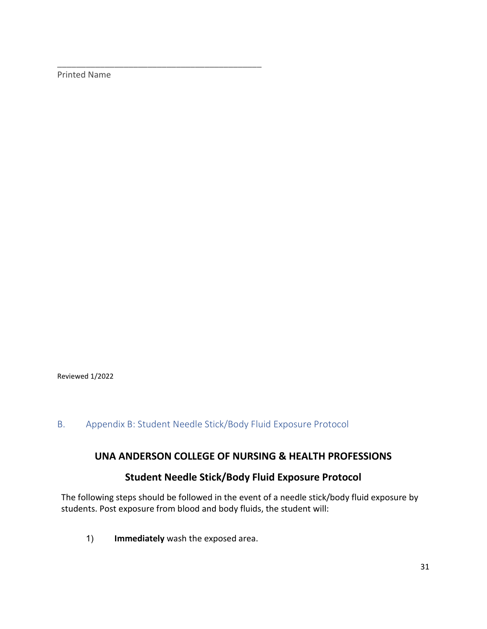Printed Name

\_\_\_\_\_\_\_\_\_\_\_\_\_\_\_\_\_\_\_\_\_\_\_\_\_\_\_\_\_\_\_\_\_\_\_\_\_\_\_\_\_\_\_

Reviewed 1/2022

#### <span id="page-30-0"></span>B. Appendix B: Student Needle Stick/Body Fluid Exposure Protocol

#### **UNA ANDERSON COLLEGE OF NURSING & HEALTH PROFESSIONS**

#### **Student Needle Stick/Body Fluid Exposure Protocol**

The following steps should be followed in the event of a needle stick/body fluid exposure by students. Post exposure from blood and body fluids, the student will:

1) **Immediately** wash the exposed area.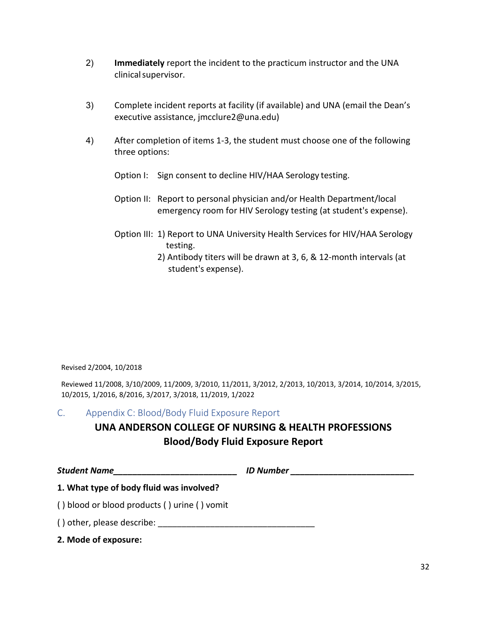- 2) **Immediately** report the incident to the practicum instructor and the UNA clinical supervisor.
- 3) Complete incident reports at facility (if available) and UNA (email the Dean's executive assistance, jmcclure2@una.edu)
- 4) After completion of items 1-3, the student must choose one of the following three options:
	- Option I: Sign consent to decline HIV/HAA Serology testing.
	- Option II: Report to personal physician and/or Health Department/local emergency room for HIV Serology testing (at student's expense).
	- Option III: 1) Report to UNA University Health Services for HIV/HAA Serology testing.
		- 2) Antibody titers will be drawn at 3, 6, & 12-month intervals (at student's expense).

Revised 2/2004, 10/2018

Reviewed 11/2008, 3/10/2009, 11/2009, 3/2010, 11/2011, 3/2012, 2/2013, 10/2013, 3/2014, 10/2014, 3/2015, 10/2015, 1/2016, 8/2016, 3/2017, 3/2018, 11/2019, 1/2022

#### <span id="page-31-0"></span>C. Appendix C: Blood/Body Fluid Exposure Report

## **UNA ANDERSON COLLEGE OF NURSING & HEALTH PROFESSIONS Blood/Body Fluid Exposure Report**

| <b>Student Name</b>                          | <b>ID Number</b> |  |
|----------------------------------------------|------------------|--|
| 1. What type of body fluid was involved?     |                  |  |
| () blood or blood products () urine () vomit |                  |  |
| () other, please describe:                   |                  |  |
| 2. Mode of exposure:                         |                  |  |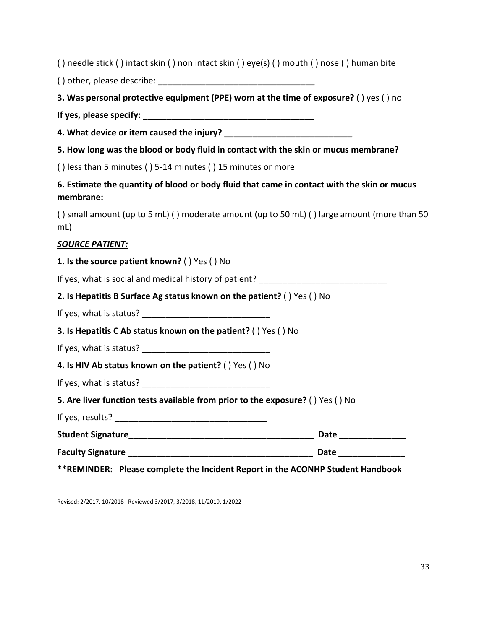( ) needle stick ( ) intact skin ( ) non intact skin ( ) eye(s) ( ) mouth ( ) nose ( ) human bite

 $( )$  other, please describe:

**3. Was personal protective equipment (PPE) worn at the time of exposure?** ( ) yes ( ) no

**If yes, please specify:** \_\_\_\_\_\_\_\_\_\_\_\_\_\_\_\_\_\_\_\_\_\_\_\_\_\_\_\_\_\_\_\_\_\_\_\_

**4. What device or item caused the injury?** \_\_\_\_\_\_\_\_\_\_\_\_\_\_\_\_\_\_\_\_\_\_\_\_\_\_\_

**5. How long was the blood or body fluid in contact with the skin or mucus membrane?**

( ) less than 5 minutes ( ) 5-14 minutes ( ) 15 minutes or more

**6. Estimate the quantity of blood or body fluid that came in contact with the skin or mucus membrane:**

( ) small amount (up to 5 mL) ( ) moderate amount (up to 50 mL) ( ) large amount (more than 50 mL)

#### *SOURCE PATIENT:*

#### **1. Is the source patient known?** ( ) Yes ( ) No

If yes, what is social and medical history of patient? \_\_\_\_\_\_\_\_\_\_\_\_\_\_\_\_\_\_\_\_\_\_\_\_\_\_\_

|  | 2. Is Hepatitis B Surface Ag status known on the patient? () Yes () No |  |  |  |
|--|------------------------------------------------------------------------|--|--|--|
|--|------------------------------------------------------------------------|--|--|--|

If yes, what is status?

**3. Is Hepatitis C Ab status known on the patient?** ( ) Yes ( ) No

If yes, what is status?  $\blacksquare$ 

**4. Is HIV Ab status known on the patient?** ( ) Yes ( ) No

If yes, what is status?  $\blacksquare$ 

**5. Are liver function tests available from prior to the exposure?** ( ) Yes ( ) No

If yes, results? \_\_\_\_\_\_\_\_\_\_\_\_\_\_\_\_\_\_\_\_\_\_\_\_\_\_\_\_\_\_\_\_

| <b>Student Signature</b> |  |  |
|--------------------------|--|--|
|--------------------------|--|--|

**Faculty Signature \_\_\_\_\_\_\_\_\_\_\_\_\_\_\_\_\_\_\_\_\_\_\_\_\_\_\_\_\_\_\_\_\_\_\_\_\_\_\_ Date \_\_\_\_\_\_\_\_\_\_\_\_\_\_** 

**\*\*REMINDER: Please complete the Incident Report in the ACONHP Student Handbook**

Revised: 2/2017, 10/2018 Reviewed 3/2017, 3/2018, 11/2019, 1/2022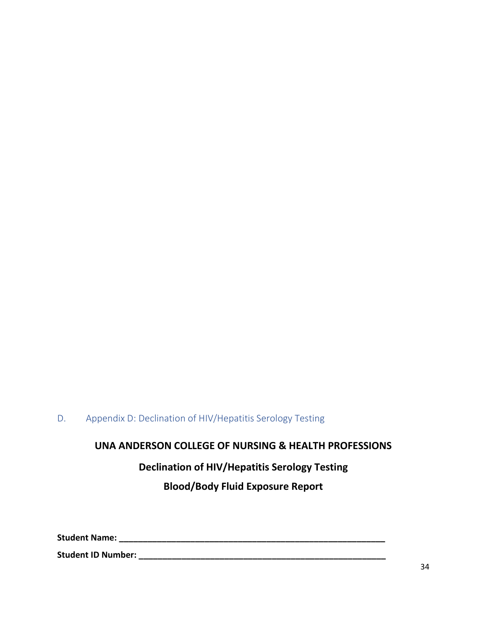#### <span id="page-33-0"></span>D. Appendix D: Declination of HIV/Hepatitis Serology Testing

## **UNA ANDERSON COLLEGE OF NURSING & HEALTH PROFESSIONS**

## **Declination of HIV/Hepatitis Serology Testing**

#### **Blood/Body Fluid Exposure Report**

**Student Name: \_\_\_\_\_\_\_\_\_\_\_\_\_\_\_\_\_\_\_\_\_\_\_\_\_\_\_\_\_\_\_\_\_\_\_\_\_\_\_\_\_\_\_\_\_\_\_\_\_\_\_\_\_\_\_\_**

**Student ID Number: \_\_\_\_\_\_\_\_\_\_\_\_\_\_\_\_\_\_\_\_\_\_\_\_\_\_\_\_\_\_\_\_\_\_\_\_\_\_\_\_\_\_\_\_\_\_\_\_\_\_\_\_**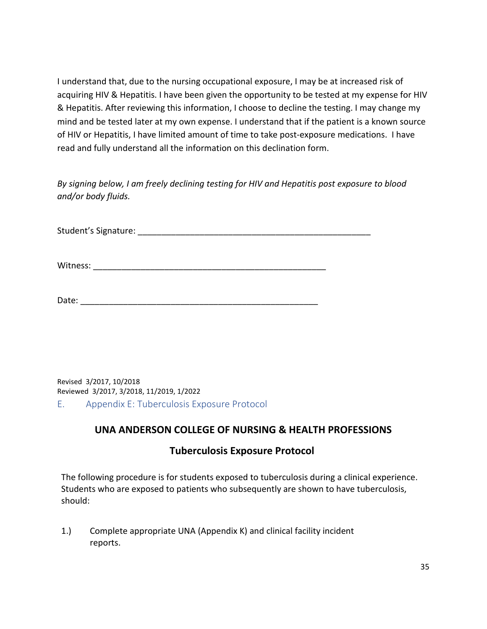I understand that, due to the nursing occupational exposure, I may be at increased risk of acquiring HIV & Hepatitis. I have been given the opportunity to be tested at my expense for HIV & Hepatitis. After reviewing this information, I choose to decline the testing. I may change my mind and be tested later at my own expense. I understand that if the patient is a known source of HIV or Hepatitis, I have limited amount of time to take post-exposure medications. I have read and fully understand all the information on this declination form.

*By signing below, I am freely declining testing for HIV and Hepatitis post exposure to blood and/or body fluids.* 

Student's Signature: **Example 2018** 

Witness:

| Date: |
|-------|
|-------|

Revised 3/2017, 10/2018 Reviewed 3/2017, 3/2018, 11/2019, 1/2022

<span id="page-34-0"></span>E. Appendix E: Tuberculosis Exposure Protocol

#### **UNA ANDERSON COLLEGE OF NURSING & HEALTH PROFESSIONS**

#### **Tuberculosis Exposure Protocol**

The following procedure is for students exposed to tuberculosis during a clinical experience. Students who are exposed to patients who subsequently are shown to have tuberculosis, should:

1.) Complete appropriate UNA (Appendix K) and clinical facility incident reports.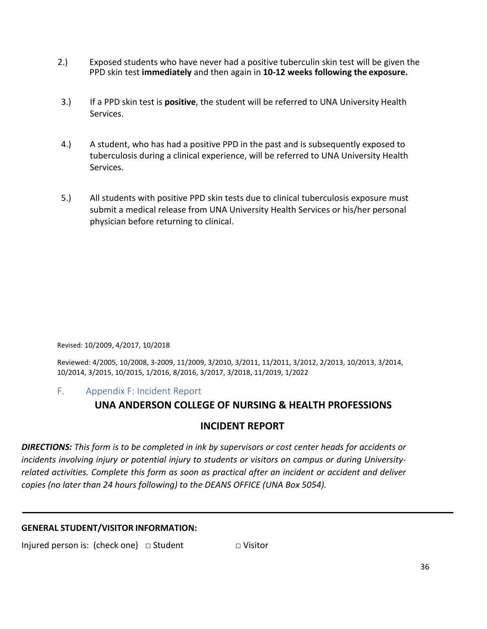- 2.) Exposed students who have never had a positive tuberculin skin test will be given the PPD skin test **immediately** and then again in **10-12 weeks following the exposure.**
- 3.) If a PPD skin test is **positive**, the student will be referred to UNA University Health Services.
- 4.) A student, who has had a positive PPD in the past and is subsequently exposed to tuberculosis during a clinical experience, will be referred to UNA University Health Services.
- 5.) All students with positive PPD skin tests due to clinical tuberculosis exposure must submit a medical release from UNA University Health Services or his/her personal physician before returning to clinical.

Revised: 10/2009, 4/2017, 10/2018

Reviewed: 4/2005, 10/2008, 3-2009, 11/2009, 3/2010, 3/2011, 11/2011, 3/2012, 2/2013, 10/2013, 3/2014, 10/2014, 3/2015, 10/2015, 1/2016, 8/2016, 3/2017, 3/2018, 11/2019, 1/2022

<span id="page-35-0"></span>F. Appendix F: Incident Report

#### **UNA ANDERSON COLLEGE OF NURSING & HEALTH PROFESSIONS**

#### **INCIDENT REPORT**

*DIRECTIONS: This form is to be completed in ink by supervisors or cost center heads for accidents or incidents involving injury or potential injury to students or visitors on campus or during Universityrelated activities. Complete this form as soon as practical after an incident or accident and deliver copies (no later than 24 hours following) to the DEANS OFFICE (UNA Box 5054).*

#### **GENERAL STUDENT/VISITOR INFORMATION:**

Injured person is: (check one) □ Student □ □ Visitor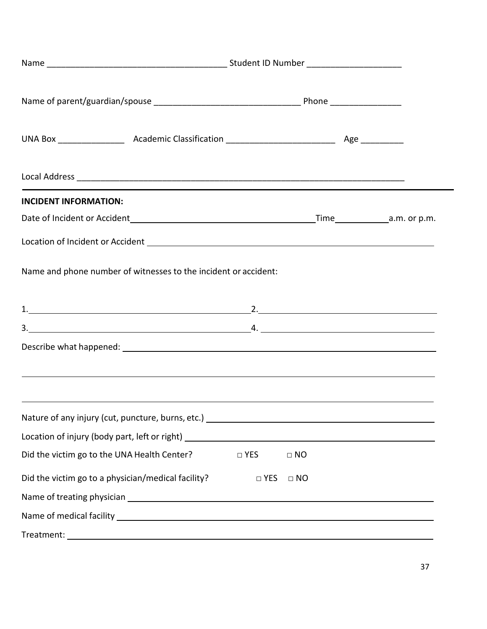| <b>INCIDENT INFORMATION:</b>                                                                                          |            |           |  |  |
|-----------------------------------------------------------------------------------------------------------------------|------------|-----------|--|--|
| Date of Incident or Accident 100 million control and all property and alm. or p.m.                                    |            |           |  |  |
|                                                                                                                       |            |           |  |  |
| Name and phone number of witnesses to the incident or accident:                                                       |            |           |  |  |
|                                                                                                                       |            |           |  |  |
| $3.$ $4.$                                                                                                             |            |           |  |  |
| ,我们也不会不会不会。""我们的人,我们也不会不会不会。""我们的人,我们也不会不会不会不会。""我们的人,我们也不会不会不会不会。""我们的人,我们也不会不会                                      |            |           |  |  |
| <u> 1999 - Johann Harry Harry Harry Harry Harry Harry Harry Harry Harry Harry Harry Harry Harry Harry Harry Harry</u> |            |           |  |  |
|                                                                                                                       |            |           |  |  |
| Did the victim go to the UNA Health Center?                                                                           | □ YES      | $\Box$ NO |  |  |
| Did the victim go to a physician/medical facility?                                                                    | $\Box$ YES | $\Box$ NO |  |  |
|                                                                                                                       |            |           |  |  |
|                                                                                                                       |            |           |  |  |
|                                                                                                                       |            |           |  |  |